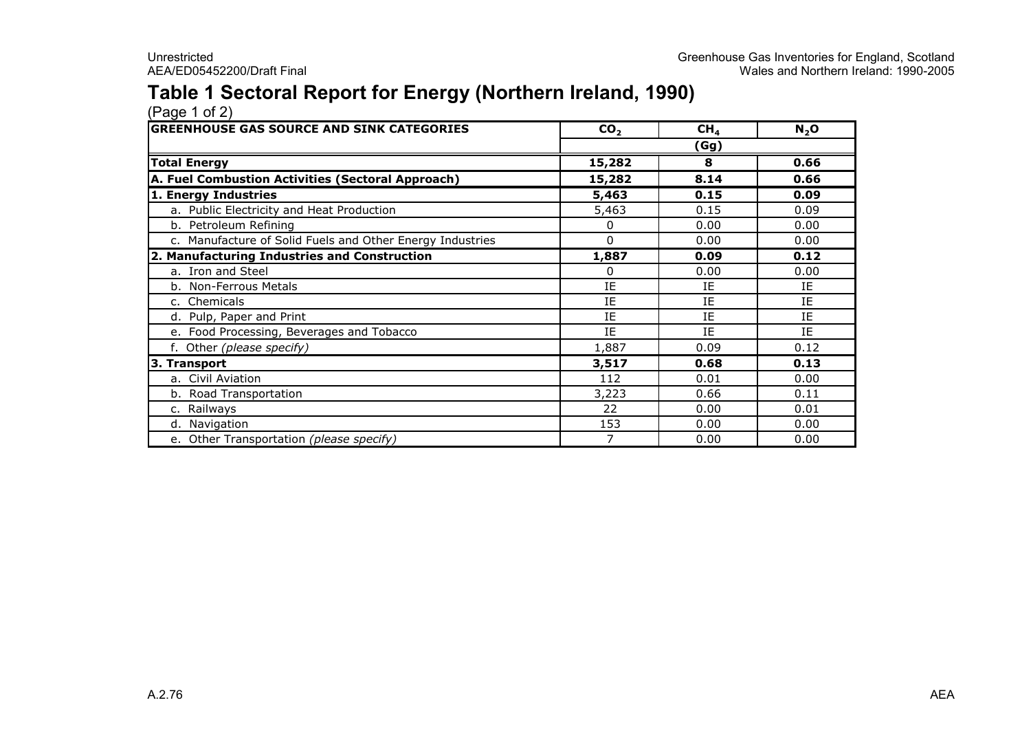#### Table 1 Sectoral Report for Energy (Northern Ireland, 1990)

| <b>GREENHOUSE GAS SOURCE AND SINK CATEGORIES</b>          | CO <sub>2</sub> | CH <sub>4</sub> | $N_2$ O |
|-----------------------------------------------------------|-----------------|-----------------|---------|
|                                                           |                 | (Gg)            |         |
| <b>Total Energy</b>                                       | 15,282          | 8               | 0.66    |
| A. Fuel Combustion Activities (Sectoral Approach)         | 15,282          | 8.14            | 0.66    |
| 1. Energy Industries                                      | 5,463           | 0.15            | 0.09    |
| a. Public Electricity and Heat Production                 | 5,463           | 0.15            | 0.09    |
| b. Petroleum Refining                                     | 0               | 0.00            | 0.00    |
| c. Manufacture of Solid Fuels and Other Energy Industries | $\Omega$        | 0.00            | 0.00    |
| 2. Manufacturing Industries and Construction              | 1,887           | 0.09            | 0.12    |
| a. Iron and Steel                                         | 0               | 0.00            | 0.00    |
| b. Non-Ferrous Metals                                     | IE              | IE              | IE      |
| c. Chemicals                                              | IE              | IE              | IE      |
| d. Pulp, Paper and Print                                  | IE              | IE              | IE      |
| e. Food Processing, Beverages and Tobacco                 | IE              | IE              | IE      |
| f. Other (please specify)                                 | 1,887           | 0.09            | 0.12    |
| 3. Transport                                              | 3,517           | 0.68            | 0.13    |
| a. Civil Aviation                                         | 112             | 0.01            | 0.00    |
| b. Road Transportation                                    | 3,223           | 0.66            | 0.11    |
| c. Railways                                               | 22              | 0.00            | 0.01    |
| d. Navigation                                             | 153             | 0.00            | 0.00    |
| e. Other Transportation (please specify)                  |                 | 0.00            | 0.00    |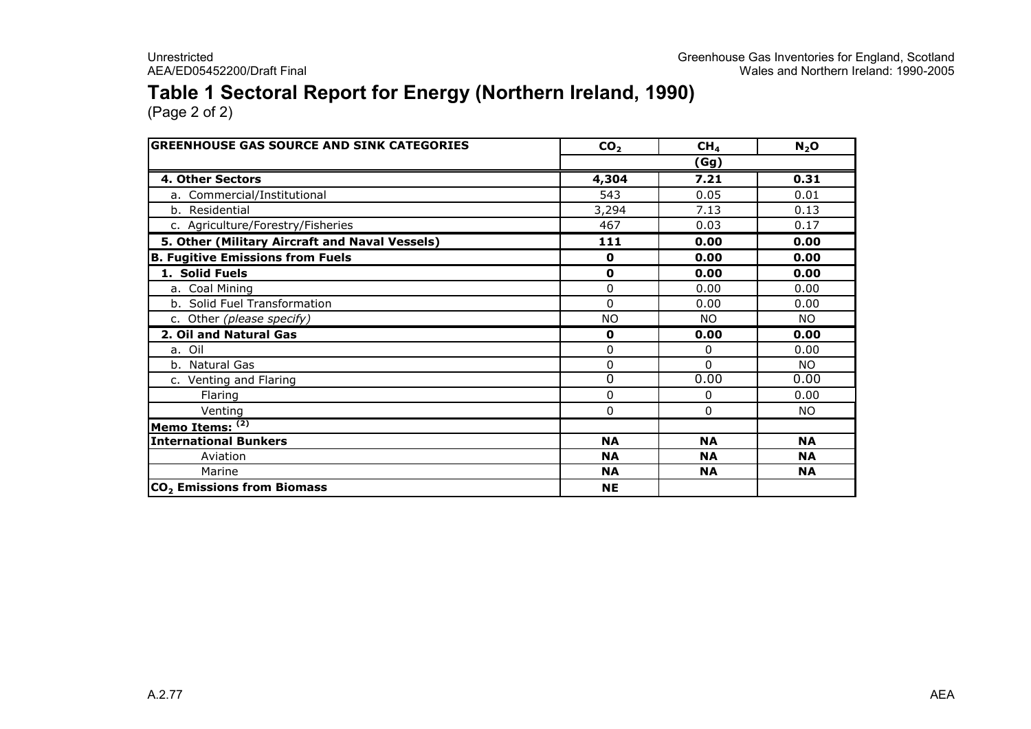#### Table 1 Sectoral Report for Energy (Northern Ireland, 1990)

| <b>GREENHOUSE GAS SOURCE AND SINK CATEGORIES</b> | CO <sub>2</sub> | CH <sub>4</sub> | $N_2$ O   |  |  |
|--------------------------------------------------|-----------------|-----------------|-----------|--|--|
|                                                  | (Gg)            |                 |           |  |  |
| 4. Other Sectors                                 | 4,304           | 7.21            | 0.31      |  |  |
| a. Commercial/Institutional                      | 543             | 0.05            | 0.01      |  |  |
| b. Residential                                   | 3,294           | 7.13            | 0.13      |  |  |
| c. Agriculture/Forestry/Fisheries                | 467             | 0.03            | 0.17      |  |  |
| 5. Other (Military Aircraft and Naval Vessels)   | 111             | 0.00            | 0.00      |  |  |
| <b>B. Fugitive Emissions from Fuels</b>          | $\mathbf 0$     | 0.00            | 0.00      |  |  |
| 1. Solid Fuels                                   | $\mathbf 0$     | 0.00            | 0.00      |  |  |
| a. Coal Mining                                   | $\Omega$        | 0.00            | 0.00      |  |  |
| b. Solid Fuel Transformation                     | $\Omega$        | 0.00            | 0.00      |  |  |
| c. Other (please specify)                        | <b>NO</b>       | NO.             | NO.       |  |  |
| 2. Oil and Natural Gas                           | $\mathbf 0$     | 0.00            | 0.00      |  |  |
| a. Oil                                           | 0               | 0               | 0.00      |  |  |
| b. Natural Gas                                   | 0               | $\Omega$        | NO.       |  |  |
| c. Venting and Flaring                           | 0               | 0.00            | 0.00      |  |  |
| Flaring                                          | $\Omega$        | 0               | 0.00      |  |  |
| Venting                                          | 0               | 0               | NO.       |  |  |
| Memo Items: (2)                                  |                 |                 |           |  |  |
| <b>International Bunkers</b>                     | <b>NA</b>       | <b>NA</b>       | <b>NA</b> |  |  |
| Aviation                                         | <b>NA</b>       | <b>NA</b>       | <b>NA</b> |  |  |
| Marine                                           | <b>NA</b>       | <b>NA</b>       | <b>NA</b> |  |  |
| CO <sub>2</sub> Emissions from Biomass           | <b>NE</b>       |                 |           |  |  |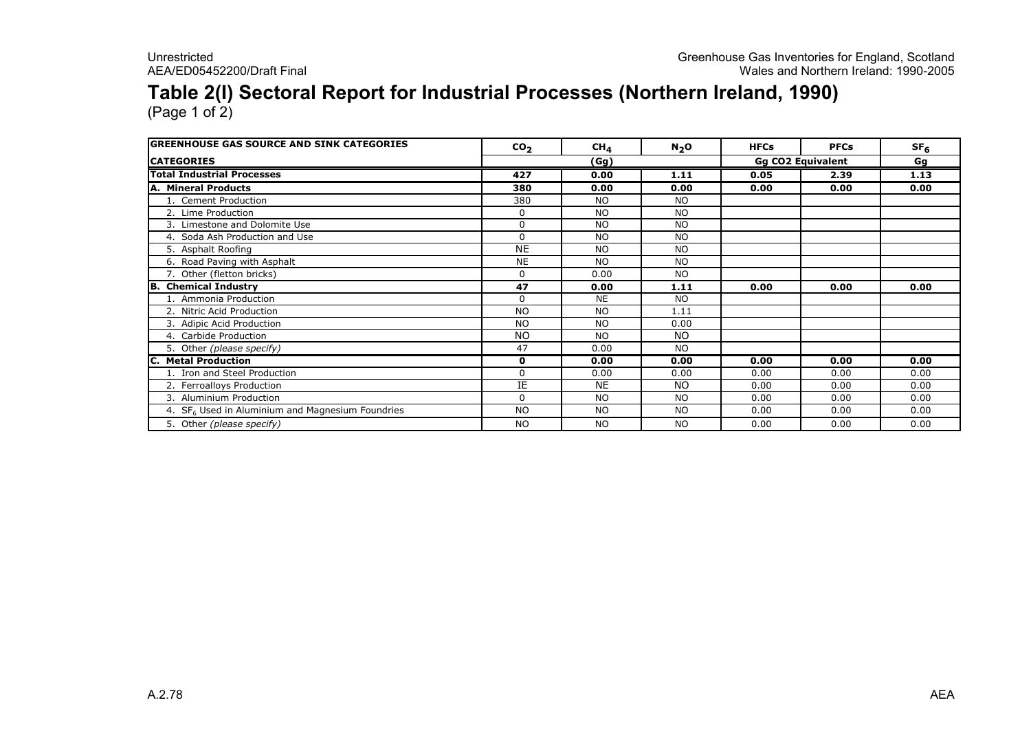### Table 2(I) Sectoral Report for Industrial Processes (Northern Ireland, 1990)

| <b>GREENHOUSE GAS SOURCE AND SINK CATEGORIES</b>             | CO <sub>2</sub> | CH <sub>4</sub> | $N_2$ O   | <b>HFCs</b> | <b>PFCs</b>              | SF <sub>6</sub> |
|--------------------------------------------------------------|-----------------|-----------------|-----------|-------------|--------------------------|-----------------|
| <b>CATEGORIES</b>                                            |                 | (Gg)            |           |             | <b>Gg CO2 Equivalent</b> | Gg              |
| <b>Total Industrial Processes</b>                            | 427             | 0.00            | 1.11      | 0.05        | 2.39                     | 1.13            |
| A. Mineral Products                                          | 380             | 0.00            | 0.00      | 0.00        | 0.00                     | 0.00            |
| 1. Cement Production                                         | 380             | <b>NO</b>       | <b>NO</b> |             |                          |                 |
| 2. Lime Production                                           | 0               | <b>NO</b>       | <b>NO</b> |             |                          |                 |
| 3. Limestone and Dolomite Use                                | $\Omega$        | <b>NO</b>       | <b>NO</b> |             |                          |                 |
| 4. Soda Ash Production and Use                               | $\Omega$        | <b>NO</b>       | <b>NO</b> |             |                          |                 |
| 5. Asphalt Roofing                                           | <b>NE</b>       | <b>NO</b>       | <b>NO</b> |             |                          |                 |
| 6. Road Paving with Asphalt                                  | <b>NE</b>       | <b>NO</b>       | <b>NO</b> |             |                          |                 |
| 7. Other (fletton bricks)                                    | $\Omega$        | 0.00            | <b>NO</b> |             |                          |                 |
| <b>B.</b> Chemical Industry                                  | 47              | 0.00            | 1.11      | 0.00        | 0.00                     | 0.00            |
| 1. Ammonia Production                                        | $\Omega$        | <b>NE</b>       | <b>NO</b> |             |                          |                 |
| 2. Nitric Acid Production                                    | <b>NO</b>       | <b>NO</b>       | 1.11      |             |                          |                 |
| 3. Adipic Acid Production                                    | <b>NO</b>       | <b>NO</b>       | 0.00      |             |                          |                 |
| 4. Carbide Production                                        | NO.             | <b>NO</b>       | NO.       |             |                          |                 |
| 5. Other (please specify)                                    | 47              | 0.00            | <b>NO</b> |             |                          |                 |
| C. Metal Production                                          | 0               | 0.00            | 0.00      | 0.00        | 0.00                     | 0.00            |
| 1. Iron and Steel Production                                 | $\Omega$        | 0.00            | 0.00      | 0.00        | 0.00                     | 0.00            |
| 2. Ferroalloys Production                                    | IE              | <b>NE</b>       | NO.       | 0.00        | 0.00                     | 0.00            |
| 3. Aluminium Production                                      | $\Omega$        | <b>NO</b>       | <b>NO</b> | 0.00        | 0.00                     | 0.00            |
| 4. SF <sub>6</sub> Used in Aluminium and Magnesium Foundries | <b>NO</b>       | <b>NO</b>       | <b>NO</b> | 0.00        | 0.00                     | 0.00            |
| 5. Other (please specify)                                    | <b>NO</b>       | <b>NO</b>       | <b>NO</b> | 0.00        | 0.00                     | 0.00            |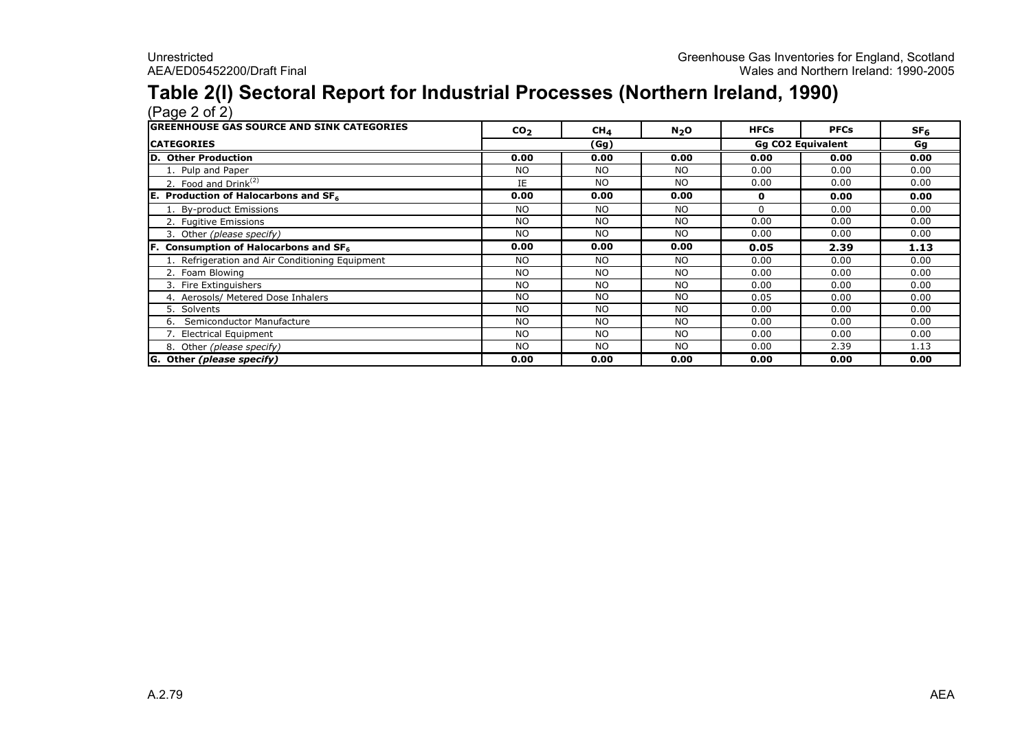# Table 2(I) Sectoral Report for Industrial Processes (Northern Ireland, 1990) (Page 2 of 2)

| <b>lGREENHOUSE GAS SOURCE AND SINK CATEGORIES</b> | CO <sub>2</sub> | CH <sub>4</sub> | $N_2$ O   | <b>HFCs</b> | <b>PFCs</b>              | SF <sub>6</sub> |
|---------------------------------------------------|-----------------|-----------------|-----------|-------------|--------------------------|-----------------|
| <b>CATEGORIES</b>                                 |                 | (Gg)            |           |             | <b>Gg CO2 Equivalent</b> | Gg              |
| D. Other Production                               | 0.00            | 0.00            | 0.00      | 0.00        | 0.00                     | 0.00            |
| 1. Pulp and Paper                                 | <b>NO</b>       | <b>NO</b>       | <b>NO</b> | 0.00        | 0.00                     | 0.00            |
| 2. Food and Drink <sup>(2)</sup>                  | IE              | <b>NO</b>       | <b>NO</b> | 0.00        | 0.00                     | 0.00            |
| Production of Halocarbons and $SF6$<br>IE.        | 0.00            | 0.00            | 0.00      | 0           | 0.00                     | 0.00            |
| 1. By-product Emissions                           | <b>NO</b>       | <b>NO</b>       | <b>NO</b> | $\Omega$    | 0.00                     | 0.00            |
| 2. Fugitive Emissions                             | <b>NO</b>       | <b>NO</b>       | <b>NO</b> | 0.00        | 0.00                     | 0.00            |
| 3. Other (please specify)                         | <b>NO</b>       | <b>NO</b>       | <b>NO</b> | 0.00        | 0.00                     | 0.00            |
| <b>F.</b> Consumption of Halocarbons and $SF6$    | 0.00            | 0.00            | 0.00      | 0.05        | 2.39                     | 1.13            |
| 1. Refrigeration and Air Conditioning Equipment   | <b>NO</b>       | <b>NO</b>       | <b>NO</b> | 0.00        | 0.00                     | 0.00            |
| 2. Foam Blowing                                   | NO.             | <b>NO</b>       | <b>NO</b> | 0.00        | 0.00                     | 0.00            |
| 3. Fire Extinguishers                             | <b>NO</b>       | <b>NO</b>       | <b>NO</b> | 0.00        | 0.00                     | 0.00            |
| 4. Aerosols/ Metered Dose Inhalers                | NO.             | N <sub>O</sub>  | <b>NO</b> | 0.05        | 0.00                     | 0.00            |
| 5. Solvents                                       | <b>NO</b>       | <b>NO</b>       | <b>NO</b> | 0.00        | 0.00                     | 0.00            |
| Semiconductor Manufacture<br>6.                   | <b>NO</b>       | <b>NO</b>       | <b>NO</b> | 0.00        | 0.00                     | 0.00            |
| 7. Electrical Equipment                           | <b>NO</b>       | <b>NO</b>       | <b>NO</b> | 0.00        | 0.00                     | 0.00            |
| 8. Other (please specify)                         | <b>NO</b>       | <b>NO</b>       | <b>NO</b> | 0.00        | 2.39                     | 1.13            |
| G. Other (please specify)                         | 0.00            | 0.00            | 0.00      | 0.00        | 0.00                     | 0.00            |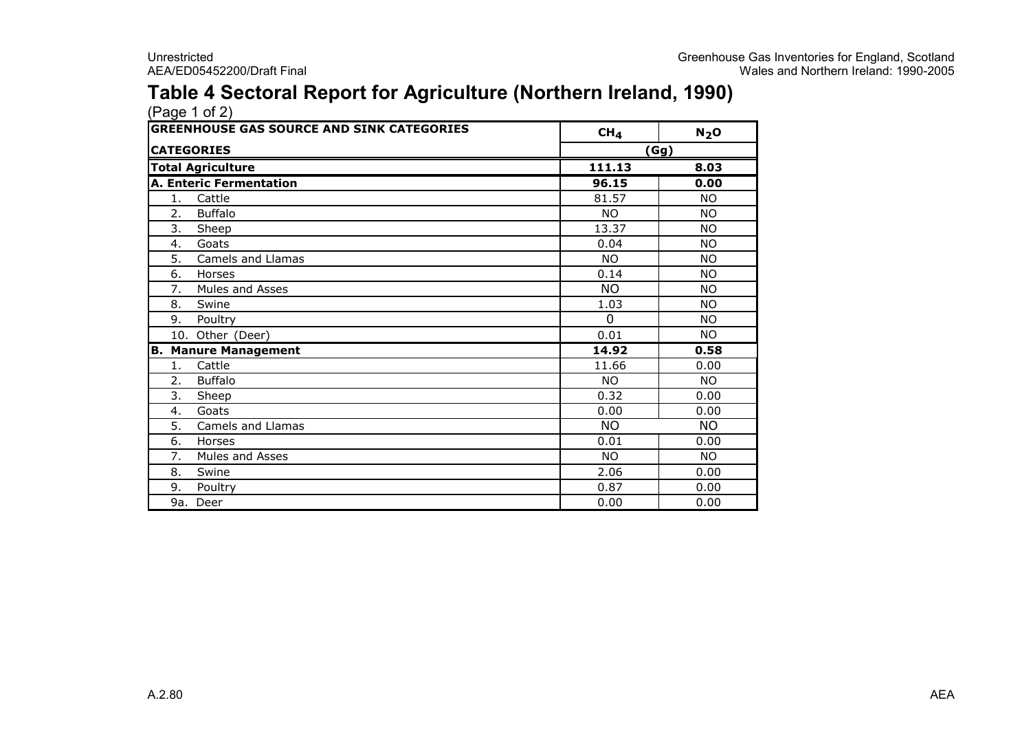#### Table 4 Sectoral Report for Agriculture (Northern Ireland, 1990)

| <b>GREENHOUSE GAS SOURCE AND SINK CATEGORIES</b> | CH <sub>4</sub> | $N_2$ O   |
|--------------------------------------------------|-----------------|-----------|
| <b>CATEGORIES</b>                                |                 | (Gg)      |
| <b>Total Agriculture</b>                         | 111.13          | 8.03      |
| <b>A. Enteric Fermentation</b>                   | 96.15           | 0.00      |
| 1. Cattle                                        | 81.57           | <b>NO</b> |
| Buffalo<br>2.                                    | <b>NO</b>       | <b>NO</b> |
| 3.<br>Sheep                                      | 13.37           | <b>NO</b> |
| Goats<br>4.                                      | 0.04            | <b>NO</b> |
| 5.<br>Camels and Llamas                          | <b>NO</b>       | <b>NO</b> |
| 6.<br>Horses                                     | 0.14            | <b>NO</b> |
| 7.<br>Mules and Asses                            | <b>NO</b>       | <b>NO</b> |
| 8.<br>Swine                                      | 1.03            | NO.       |
| 9. Poultry                                       | $\Omega$        | <b>NO</b> |
| 10. Other (Deer)                                 | 0.01            | <b>NO</b> |
| <b>B. Manure Management</b>                      | 14.92           | 0.58      |
| Cattle<br>1.                                     | 11.66           | 0.00      |
| <b>Buffalo</b><br>2.                             | <b>NO</b>       | <b>NO</b> |
| 3.<br>Sheep                                      | 0.32            | 0.00      |
| Goats<br>4.                                      | 0.00            | 0.00      |
| 5.<br>Camels and Llamas                          | <b>NO</b>       | <b>NO</b> |
| Horses<br>6.                                     | 0.01            | 0.00      |
| 7.<br>Mules and Asses                            | <b>NO</b>       | <b>NO</b> |
| Swine<br>8.                                      | 2.06            | 0.00      |
| 9.<br>Poultry                                    | 0.87            | 0.00      |
| 9a. Deer                                         | 0.00            | 0.00      |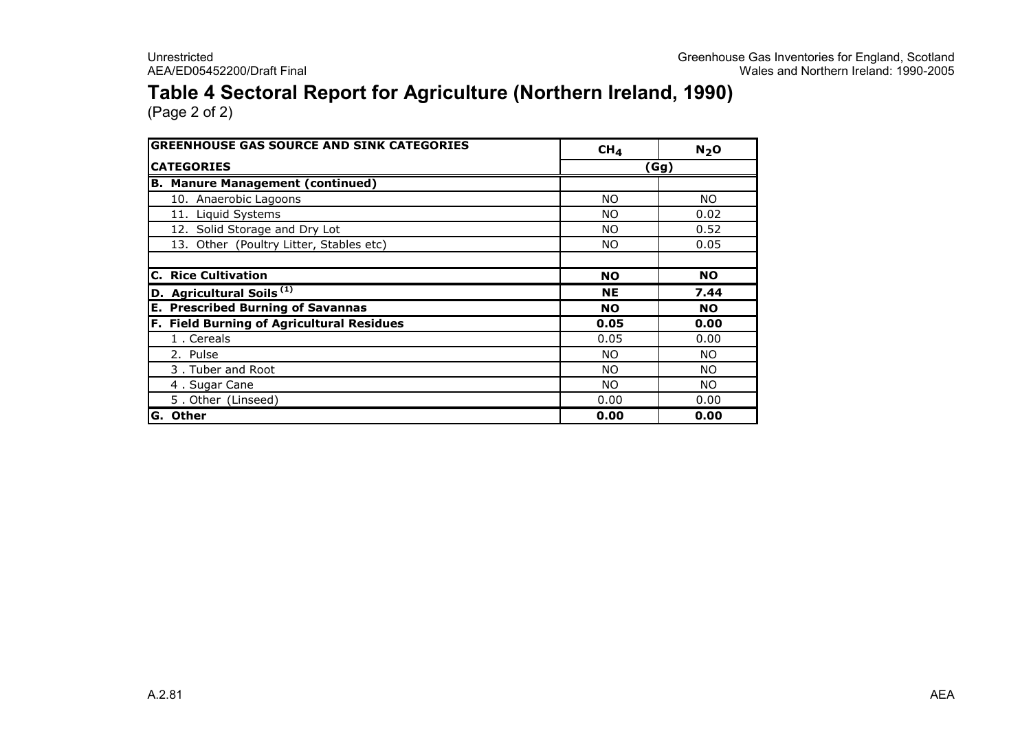#### Table 4 Sectoral Report for Agriculture (Northern Ireland, 1990)

| <b>GREENHOUSE GAS SOURCE AND SINK CATEGORIES</b> | CH <sub>4</sub> | N <sub>2</sub> O |
|--------------------------------------------------|-----------------|------------------|
| <b>CATEGORIES</b>                                | (Gg)            |                  |
| <b>B. Manure Management (continued)</b>          |                 |                  |
| 10. Anaerobic Lagoons                            | <b>NO</b>       | NO.              |
| 11. Liquid Systems                               | <b>NO</b>       | 0.02             |
| 12. Solid Storage and Dry Lot                    | <b>NO</b>       | 0.52             |
| 13. Other (Poultry Litter, Stables etc)          | NO.             | 0.05             |
| <b>C. Rice Cultivation</b>                       | <b>NO</b>       | <b>NO</b>        |
| D. Agricultural Soils <sup>(1)</sup>             | <b>NE</b>       | 7.44             |
| <b>E. Prescribed Burning of Savannas</b>         | <b>NO</b>       | <b>NO</b>        |
| F. Field Burning of Agricultural Residues        | 0.05            | 0.00             |
| 1. Cereals                                       | 0.05            | 0.00             |
| 2. Pulse                                         | <b>NO</b>       | NO.              |
| 3. Tuber and Root                                | <b>NO</b>       | NO.              |
| 4. Sugar Cane                                    | <b>NO</b>       | NO.              |
| 5. Other (Linseed)                               | 0.00            | 0.00             |
| G. Other                                         | 0.00            | 0.00             |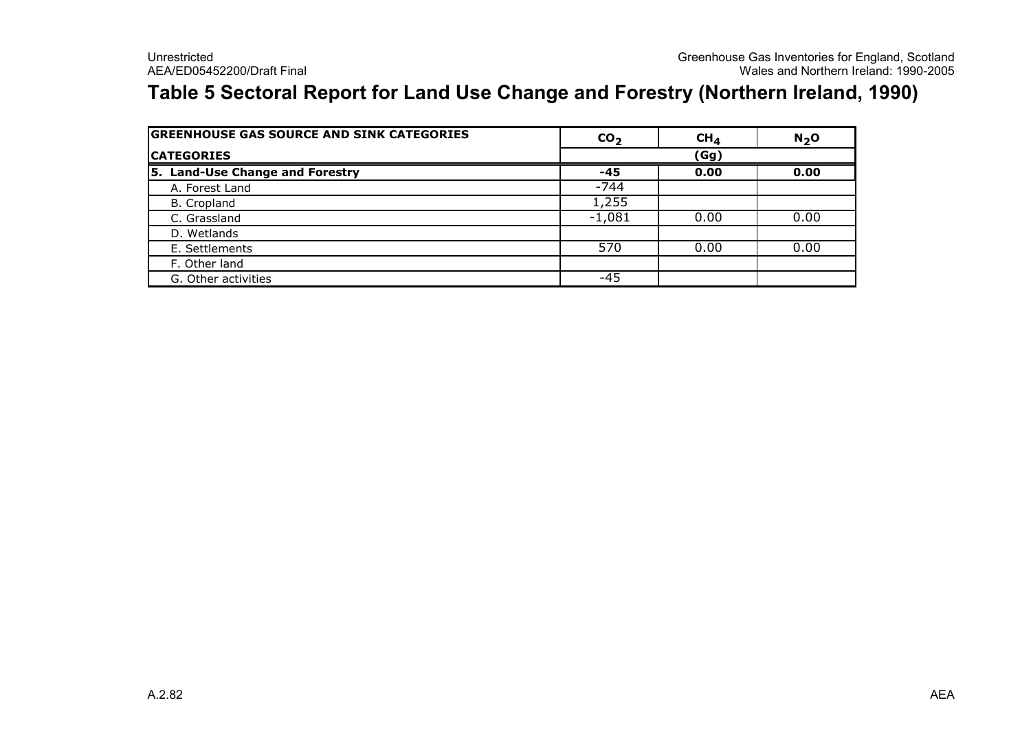#### Table 5 Sectoral Report for Land Use Change and Forestry (Northern Ireland, 1990)

| <b>GREENHOUSE GAS SOURCE AND SINK CATEGORIES</b> | CO <sub>2</sub> | CH <sub>4</sub> | $N2$ O |
|--------------------------------------------------|-----------------|-----------------|--------|
| <b>CATEGORIES</b>                                | (Gg)            |                 |        |
| 5. Land-Use Change and Forestry                  | $-45$           | 0.00            | 0.00   |
| A. Forest Land                                   | $-744$          |                 |        |
| B. Cropland                                      | 1,255           |                 |        |
| C. Grassland                                     | $-1,081$        | 0.00            | 0.00   |
| D. Wetlands                                      |                 |                 |        |
| E. Settlements                                   | 570             | 0.00            | 0.00   |
| F. Other land                                    |                 |                 |        |
| G. Other activities                              | -45             |                 |        |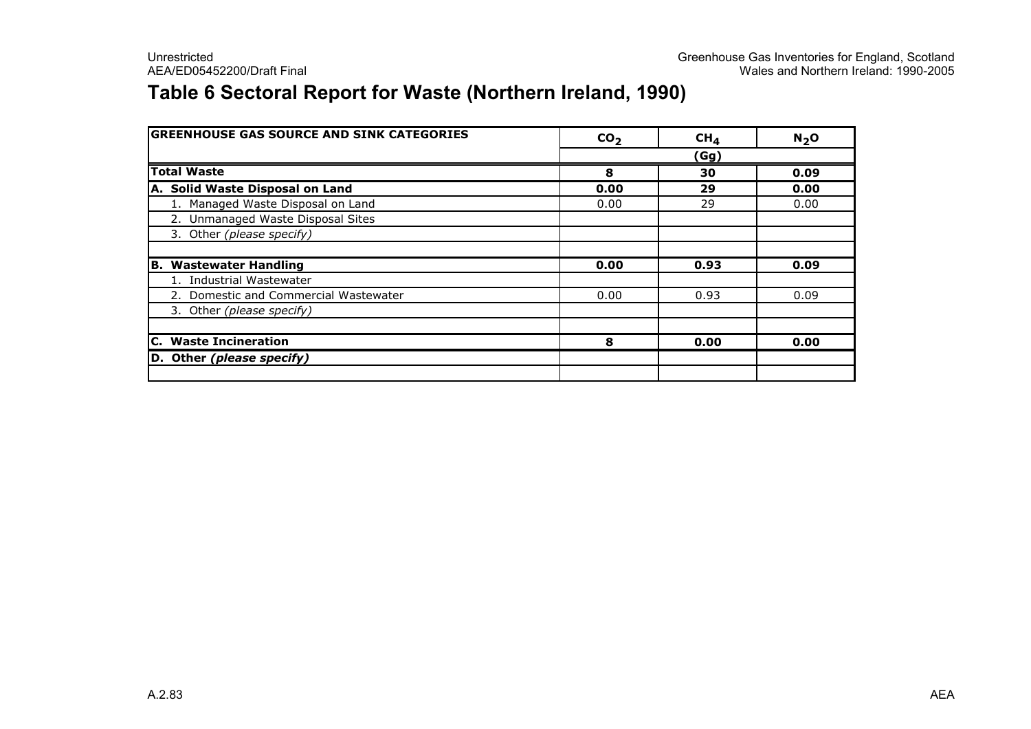#### Table 6 Sectoral Report for Waste (Northern Ireland, 1990)

| <b>GREENHOUSE GAS SOURCE AND SINK CATEGORIES</b> | CO <sub>2</sub> | CH <sub>4</sub> | N <sub>2</sub> O |
|--------------------------------------------------|-----------------|-----------------|------------------|
|                                                  |                 | (Gg)            |                  |
| <b>Total Waste</b>                               | 8               | 30              | 0.09             |
| A. Solid Waste Disposal on Land                  | 0.00            | 29              | 0.00             |
| 1. Managed Waste Disposal on Land                | 0.00            | 29              | 0.00             |
| 2. Unmanaged Waste Disposal Sites                |                 |                 |                  |
| 3. Other (please specify)                        |                 |                 |                  |
|                                                  |                 |                 |                  |
| <b>B. Wastewater Handling</b>                    | 0.00            | 0.93            | 0.09             |
| 1. Industrial Wastewater                         |                 |                 |                  |
| 2. Domestic and Commercial Wastewater            | 0.00            | 0.93            | 0.09             |
| 3. Other (please specify)                        |                 |                 |                  |
|                                                  |                 |                 |                  |
| <b>C.</b> Waste Incineration                     | 8               | 0.00            | 0.00             |
| D. Other (please specify)                        |                 |                 |                  |
|                                                  |                 |                 |                  |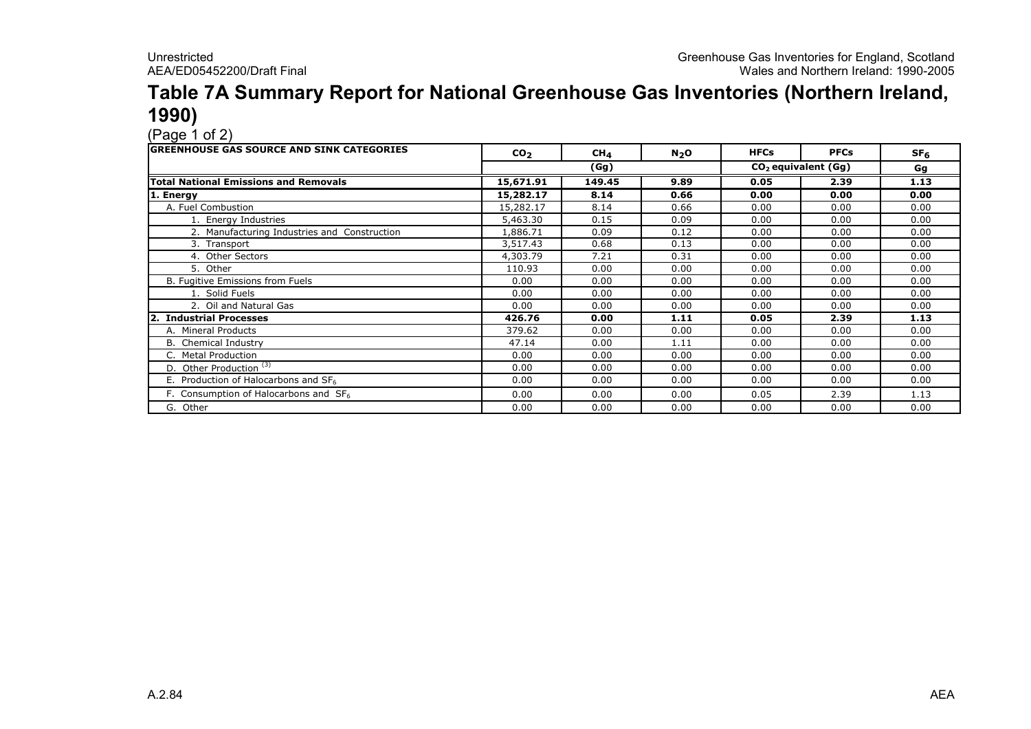### Table 7A Summary Report for National Greenhouse Gas Inventories (Northern Ireland, **1990)**<br>(Page 1 of 2)

| <b>GREENHOUSE GAS SOURCE AND SINK CATEGORIES</b> | CO <sub>2</sub> | CH <sub>4</sub> | N <sub>2</sub> O | <b>HFCs</b> | <b>PFCs</b>           | SF <sub>6</sub> |
|--------------------------------------------------|-----------------|-----------------|------------------|-------------|-----------------------|-----------------|
|                                                  | (Gg)            |                 |                  |             | $CO2$ equivalent (Gg) | Gg              |
| <b>Total National Emissions and Removals</b>     | 15,671.91       | 149.45          | 9.89             | 0.05        | 2.39                  | 1.13            |
| 1. Energy                                        | 15,282.17       | 8.14            | 0.66             | 0.00        | 0.00                  | 0.00            |
| A. Fuel Combustion                               | 15,282.17       | 8.14            | 0.66             | 0.00        | 0.00                  | 0.00            |
| 1. Energy Industries                             | 5,463.30        | 0.15            | 0.09             | 0.00        | 0.00                  | 0.00            |
| 2. Manufacturing Industries and Construction     | 1,886.71        | 0.09            | 0.12             | 0.00        | 0.00                  | 0.00            |
| 3. Transport                                     | 3,517.43        | 0.68            | 0.13             | 0.00        | 0.00                  | 0.00            |
| 4. Other Sectors                                 | 4,303.79        | 7.21            | 0.31             | 0.00        | 0.00                  | 0.00            |
| 5. Other                                         | 110.93          | 0.00            | 0.00             | 0.00        | 0.00                  | 0.00            |
| B. Fugitive Emissions from Fuels                 | 0.00            | 0.00            | 0.00             | 0.00        | 0.00                  | 0.00            |
| 1. Solid Fuels                                   | 0.00            | 0.00            | 0.00             | 0.00        | 0.00                  | 0.00            |
| 2. Oil and Natural Gas                           | 0.00            | 0.00            | 0.00             | 0.00        | 0.00                  | 0.00            |
| 2. Industrial Processes                          | 426.76          | 0.00            | 1.11             | 0.05        | 2.39                  | 1.13            |
| A. Mineral Products                              | 379.62          | 0.00            | 0.00             | 0.00        | 0.00                  | 0.00            |
| B. Chemical Industry                             | 47.14           | 0.00            | 1.11             | 0.00        | 0.00                  | 0.00            |
| C. Metal Production                              | 0.00            | 0.00            | 0.00             | 0.00        | 0.00                  | 0.00            |
| D. Other Production <sup>(3)</sup>               | 0.00            | 0.00            | 0.00             | 0.00        | 0.00                  | 0.00            |
| E. Production of Halocarbons and SF6             | 0.00            | 0.00            | 0.00             | 0.00        | 0.00                  | 0.00            |
| F. Consumption of Halocarbons and SF6            | 0.00            | 0.00            | 0.00             | 0.05        | 2.39                  | 1.13            |
| G. Other                                         | 0.00            | 0.00            | 0.00             | 0.00        | 0.00                  | 0.00            |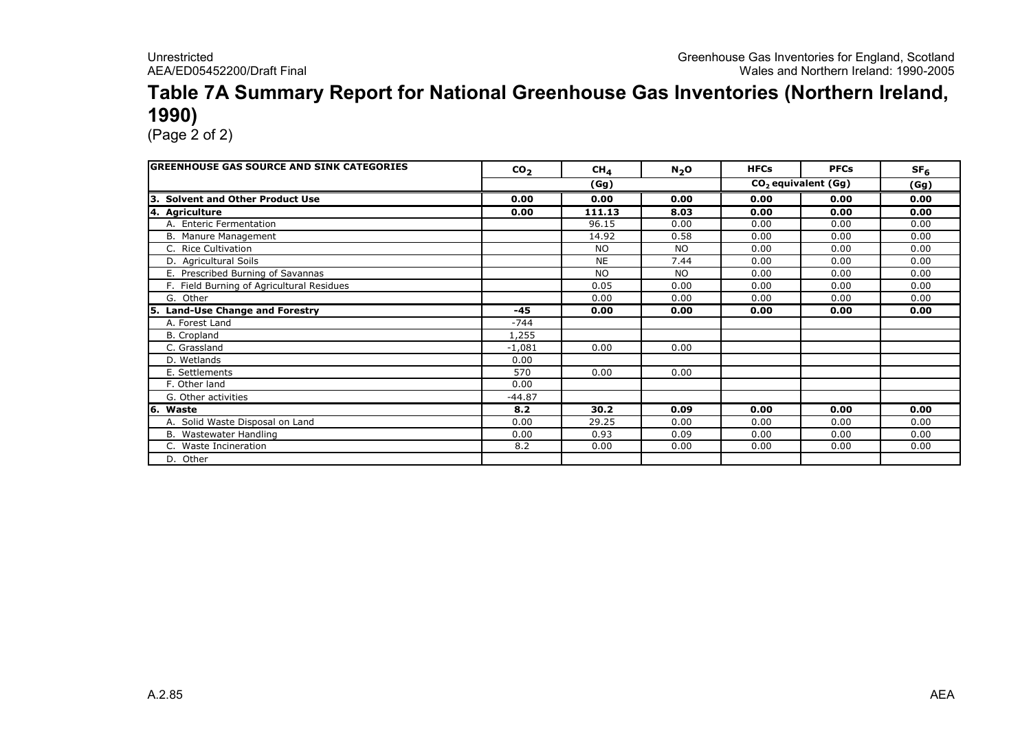#### Table 7A Summary Report for National Greenhouse Gas Inventories (Northern Ireland, 1990)

| <b>GREENHOUSE GAS SOURCE AND SINK CATEGORIES</b> | CO <sub>2</sub> | CH <sub>4</sub> | $N_2O$    | <b>HFCs</b> | <b>PFCs</b>           | SF <sub>6</sub> |
|--------------------------------------------------|-----------------|-----------------|-----------|-------------|-----------------------|-----------------|
|                                                  |                 | (Gg)            |           |             | $CO2$ equivalent (Gg) | (Gg)            |
| Iз<br><b>Solvent and Other Product Use</b>       | 0.00            | 0.00            | 0.00      | 0.00        | 0.00                  | 0.00            |
| 4. Agriculture                                   | 0.00            | 111.13          | 8.03      | 0.00        | 0.00                  | 0.00            |
| A. Enteric Fermentation                          |                 | 96.15           | 0.00      | 0.00        | 0.00                  | 0.00            |
| B. Manure Management                             |                 | 14.92           | 0.58      | 0.00        | 0.00                  | 0.00            |
| C. Rice Cultivation                              |                 | <b>NO</b>       | <b>NO</b> | 0.00        | 0.00                  | 0.00            |
| D. Agricultural Soils                            |                 | <b>NE</b>       | 7.44      | 0.00        | 0.00                  | 0.00            |
| E. Prescribed Burning of Savannas                |                 | <b>NO</b>       | <b>NO</b> | 0.00        | 0.00                  | 0.00            |
| F. Field Burning of Agricultural Residues        |                 | 0.05            | 0.00      | 0.00        | 0.00                  | 0.00            |
| G. Other                                         |                 | 0.00            | 0.00      | 0.00        | 0.00                  | 0.00            |
| <b>Land-Use Change and Forestry</b><br>5.        | $-45$           | 0.00            | 0.00      | 0.00        | 0.00                  | 0.00            |
| A. Forest Land                                   | $-744$          |                 |           |             |                       |                 |
| <b>B.</b> Cropland                               | 1,255           |                 |           |             |                       |                 |
| C. Grassland                                     | $-1,081$        | 0.00            | 0.00      |             |                       |                 |
| D. Wetlands                                      | 0.00            |                 |           |             |                       |                 |
| E. Settlements                                   | 570             | 0.00            | 0.00      |             |                       |                 |
| F. Other land                                    | 0.00            |                 |           |             |                       |                 |
| G. Other activities                              | $-44.87$        |                 |           |             |                       |                 |
| 6. Waste                                         | 8.2             | 30.2            | 0.09      | 0.00        | 0.00                  | 0.00            |
| A. Solid Waste Disposal on Land                  | 0.00            | 29.25           | 0.00      | 0.00        | 0.00                  | 0.00            |
| B. Wastewater Handling                           | 0.00            | 0.93            | 0.09      | 0.00        | 0.00                  | 0.00            |
| C. Waste Incineration                            | 8.2             | 0.00            | 0.00      | 0.00        | 0.00                  | 0.00            |
| D. Other                                         |                 |                 |           |             |                       |                 |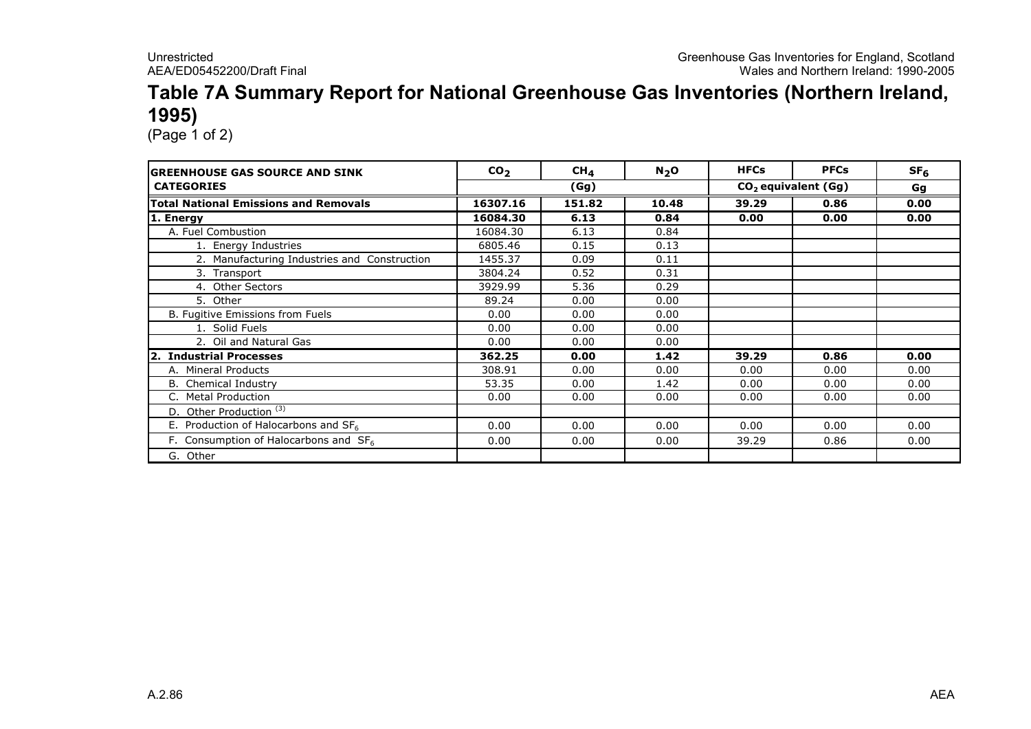#### Table 7A Summary Report for National Greenhouse Gas Inventories (Northern Ireland, 1995)

| <b>GREENHOUSE GAS SOURCE AND SINK</b>        | CO <sub>2</sub> | $CH_{4}$ | $N_2$ O | <b>HFCs</b> | <b>PFCs</b>           | SF <sub>6</sub> |  |
|----------------------------------------------|-----------------|----------|---------|-------------|-----------------------|-----------------|--|
| <b>CATEGORIES</b>                            |                 | (Gg)     |         |             | $CO2$ equivalent (Gg) |                 |  |
| <b>Total National Emissions and Removals</b> | 16307.16        | 151.82   | 10.48   | 39.29       | 0.86                  | 0.00            |  |
| 1. Energy                                    | 16084.30        | 6.13     | 0.84    | 0.00        | 0.00                  | 0.00            |  |
| A. Fuel Combustion                           | 16084.30        | 6.13     | 0.84    |             |                       |                 |  |
| 1. Energy Industries                         | 6805.46         | 0.15     | 0.13    |             |                       |                 |  |
| 2. Manufacturing Industries and Construction | 1455.37         | 0.09     | 0.11    |             |                       |                 |  |
| 3. Transport                                 | 3804.24         | 0.52     | 0.31    |             |                       |                 |  |
| 4. Other Sectors                             | 3929.99         | 5.36     | 0.29    |             |                       |                 |  |
| 5. Other                                     | 89.24           | 0.00     | 0.00    |             |                       |                 |  |
| B. Fugitive Emissions from Fuels             | 0.00            | 0.00     | 0.00    |             |                       |                 |  |
| 1. Solid Fuels                               | 0.00            | 0.00     | 0.00    |             |                       |                 |  |
| 2. Oil and Natural Gas                       | 0.00            | 0.00     | 0.00    |             |                       |                 |  |
| 2. Industrial Processes                      | 362.25          | 0.00     | 1.42    | 39.29       | 0.86                  | 0.00            |  |
| A. Mineral Products                          | 308.91          | 0.00     | 0.00    | 0.00        | 0.00                  | 0.00            |  |
| <b>B.</b> Chemical Industry                  | 53.35           | 0.00     | 1.42    | 0.00        | 0.00                  | 0.00            |  |
| <b>Metal Production</b>                      | 0.00            | 0.00     | 0.00    | 0.00        | 0.00                  | 0.00            |  |
| D. Other Production <sup>(3)</sup>           |                 |          |         |             |                       |                 |  |
| E. Production of Halocarbons and SF6         | 0.00            | 0.00     | 0.00    | 0.00        | 0.00                  | 0.00            |  |
| F. Consumption of Halocarbons and $SF6$      | 0.00            | 0.00     | 0.00    | 39.29       | 0.86                  | 0.00            |  |
| G. Other                                     |                 |          |         |             |                       |                 |  |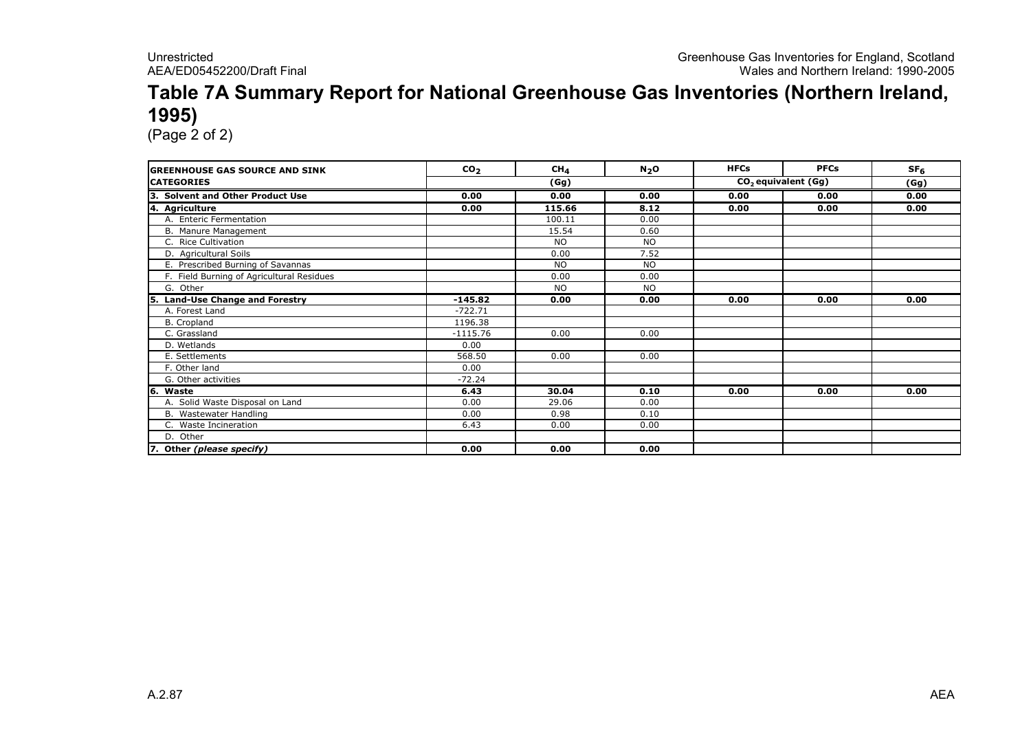#### Table 7A Summary Report for National Greenhouse Gas Inventories (Northern Ireland, 1995)

| <b>GREENHOUSE GAS SOURCE AND SINK</b>     | CO <sub>2</sub> | CH <sub>4</sub> | N <sub>2</sub> O | <b>HFCs</b>                     | <b>PFCs</b> | SF <sub>6</sub> |
|-------------------------------------------|-----------------|-----------------|------------------|---------------------------------|-------------|-----------------|
| <b>CATEGORIES</b>                         |                 | (Gg)            |                  | CO <sub>2</sub> equivalent (Gg) | (Gg)        |                 |
| 3. Solvent and Other Product Use          | 0.00            | 0.00            | 0.00             | 0.00                            | 0.00        | 0.00            |
| 4. Agriculture                            | 0.00            | 115.66          | 8.12             | 0.00                            | 0.00        | 0.00            |
| A. Enteric Fermentation                   |                 | 100.11          | 0.00             |                                 |             |                 |
| B. Manure Management                      |                 | 15.54           | 0.60             |                                 |             |                 |
| C. Rice Cultivation                       |                 | <b>NO</b>       | <b>NO</b>        |                                 |             |                 |
| D. Agricultural Soils                     |                 | 0.00            | 7.52             |                                 |             |                 |
| E. Prescribed Burning of Savannas         |                 | <b>NO</b>       | <b>NO</b>        |                                 |             |                 |
| F. Field Burning of Agricultural Residues |                 | 0.00            | 0.00             |                                 |             |                 |
| G. Other                                  |                 | <b>NO</b>       | <b>NO</b>        |                                 |             |                 |
| <b>Land-Use Change and Forestry</b><br>5. | $-145.82$       | 0.00            | 0.00             | 0.00                            | 0.00        | 0.00            |
| A. Forest Land                            | $-722.71$       |                 |                  |                                 |             |                 |
| B. Cropland                               | 1196.38         |                 |                  |                                 |             |                 |
| C. Grassland                              | $-1115.76$      | 0.00            | 0.00             |                                 |             |                 |
| D. Wetlands                               | 0.00            |                 |                  |                                 |             |                 |
| E. Settlements                            | 568.50          | 0.00            | 0.00             |                                 |             |                 |
| F. Other land                             | 0.00            |                 |                  |                                 |             |                 |
| G. Other activities                       | $-72.24$        |                 |                  |                                 |             |                 |
| 6. Waste                                  | 6.43            | 30.04           | 0.10             | 0.00                            | 0.00        | 0.00            |
| A. Solid Waste Disposal on Land           | 0.00            | 29.06           | 0.00             |                                 |             |                 |
| B. Wastewater Handling                    | 0.00            | 0.98            | 0.10             |                                 |             |                 |
| C. Waste Incineration                     | 6.43            | 0.00            | 0.00             |                                 |             |                 |
| D. Other                                  |                 |                 |                  |                                 |             |                 |
| 7. Other (please specify)                 | 0.00            | 0.00            | 0.00             |                                 |             |                 |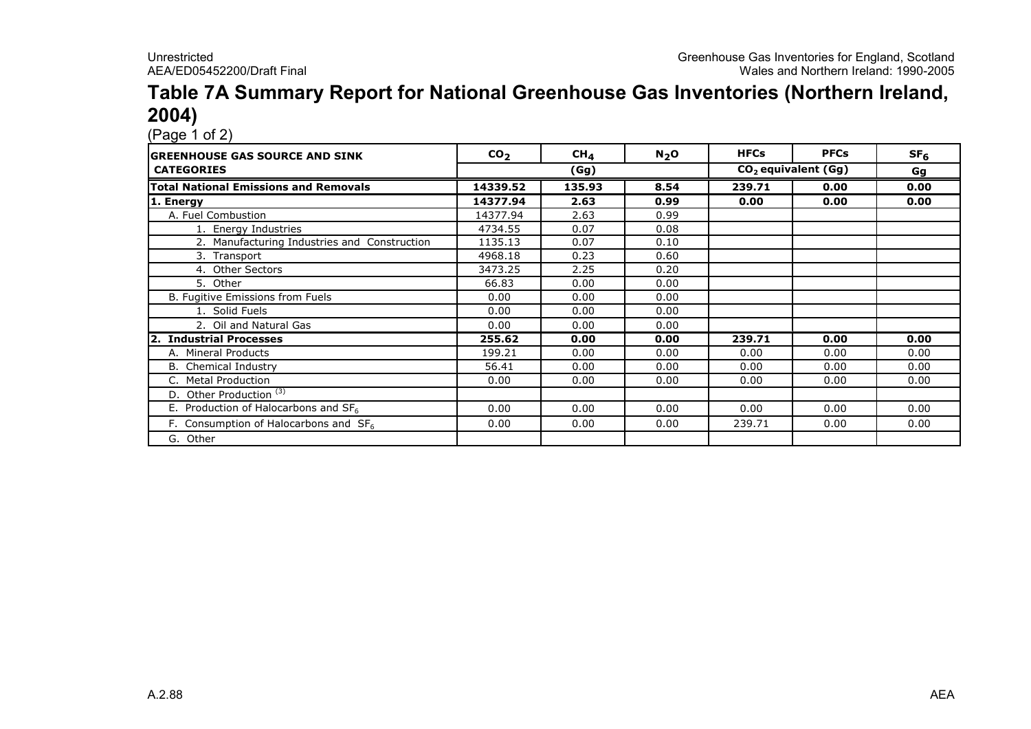#### Table 7A Summary Report for National Greenhouse Gas Inventories (Northern Ireland, 2004)

| IGREENHOUSE GAS SOURCE AND SINK                  | CO <sub>2</sub> | $CH_{4}$ | $N_2$ O | <b>HFCs</b> | <b>PFCs</b>           | SF <sub>6</sub> |
|--------------------------------------------------|-----------------|----------|---------|-------------|-----------------------|-----------------|
| <b>CATEGORIES</b>                                |                 | (Gg)     |         |             | $CO2$ equivalent (Gg) | Gg              |
| <b>Total National Emissions and Removals</b>     | 14339.52        | 135.93   | 8.54    | 239.71      | 0.00                  | 0.00            |
| 1. Energy                                        | 14377.94        | 2.63     | 0.99    | 0.00        | 0.00                  | 0.00            |
| A. Fuel Combustion                               | 14377.94        | 2.63     | 0.99    |             |                       |                 |
| 1. Energy Industries                             | 4734.55         | 0.07     | 0.08    |             |                       |                 |
| 2. Manufacturing Industries and Construction     | 1135.13         | 0.07     | 0.10    |             |                       |                 |
| 3. Transport                                     | 4968.18         | 0.23     | 0.60    |             |                       |                 |
| 4. Other Sectors                                 | 3473.25         | 2.25     | 0.20    |             |                       |                 |
| 5. Other                                         | 66.83           | 0.00     | 0.00    |             |                       |                 |
| B. Fugitive Emissions from Fuels                 | 0.00            | 0.00     | 0.00    |             |                       |                 |
| 1. Solid Fuels                                   | 0.00            | 0.00     | 0.00    |             |                       |                 |
| 2. Oil and Natural Gas                           | 0.00            | 0.00     | 0.00    |             |                       |                 |
| <b>Industrial Processes</b><br>I2.               | 255.62          | 0.00     | 0.00    | 239.71      | 0.00                  | 0.00            |
| A. Mineral Products                              | 199.21          | 0.00     | 0.00    | 0.00        | 0.00                  | 0.00            |
| <b>B.</b> Chemical Industry                      | 56.41           | 0.00     | 0.00    | 0.00        | 0.00                  | 0.00            |
| <b>Metal Production</b>                          | 0.00            | 0.00     | 0.00    | 0.00        | 0.00                  | 0.00            |
| D. Other Production <sup>(3)</sup>               |                 |          |         |             |                       |                 |
| E. Production of Halocarbons and SF <sub>6</sub> | 0.00            | 0.00     | 0.00    | 0.00        | 0.00                  | 0.00            |
| F. Consumption of Halocarbons and $SF6$          | 0.00            | 0.00     | 0.00    | 239.71      | 0.00                  | 0.00            |
| G. Other                                         |                 |          |         |             |                       |                 |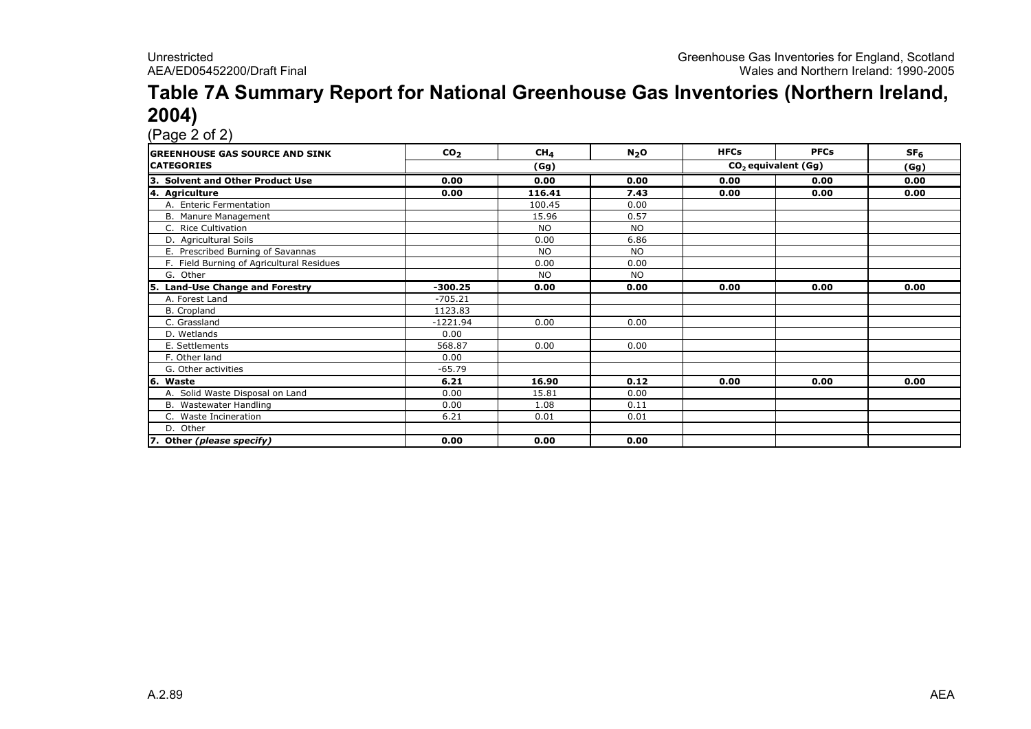#### Table 7A Summary Report for National Greenhouse Gas Inventories (Northern Ireland, 2004)

| <b>IGREENHOUSE GAS SOURCE AND SINK</b>      | CO <sub>2</sub> | CH <sub>4</sub> | N <sub>2</sub> O | <b>HFCs</b>                     | <b>PFCs</b> | SF <sub>6</sub> |
|---------------------------------------------|-----------------|-----------------|------------------|---------------------------------|-------------|-----------------|
| <b>CATEGORIES</b>                           |                 | (Gg)            |                  | CO <sub>2</sub> equivalent (Gg) | (Gg)        |                 |
| <b>Solvent and Other Product Use</b><br>Із. | 0.00            | 0.00            | 0.00             | 0.00                            | 0.00        | 0.00            |
| 4. Agriculture                              | 0.00            | 116.41          | 7.43             | 0.00                            | 0.00        | 0.00            |
| A. Enteric Fermentation                     |                 | 100.45          | 0.00             |                                 |             |                 |
| B. Manure Management                        |                 | 15.96           | 0.57             |                                 |             |                 |
| C. Rice Cultivation                         |                 | <b>NO</b>       | <b>NO</b>        |                                 |             |                 |
| D. Agricultural Soils                       |                 | 0.00            | 6.86             |                                 |             |                 |
| E. Prescribed Burning of Savannas           |                 | <b>NO</b>       | <b>NO</b>        |                                 |             |                 |
| F. Field Burning of Agricultural Residues   |                 | 0.00            | 0.00             |                                 |             |                 |
| G. Other                                    |                 | <b>NO</b>       | <b>NO</b>        |                                 |             |                 |
| <b>Land-Use Change and Forestry</b><br>l5.  | $-300.25$       | 0.00            | 0.00             | 0.00                            | 0.00        | 0.00            |
| A. Forest Land                              | $-705.21$       |                 |                  |                                 |             |                 |
| B. Cropland                                 | 1123.83         |                 |                  |                                 |             |                 |
| C. Grassland                                | $-1221.94$      | 0.00            | 0.00             |                                 |             |                 |
| D. Wetlands                                 | 0.00            |                 |                  |                                 |             |                 |
| E. Settlements                              | 568.87          | 0.00            | 0.00             |                                 |             |                 |
| F. Other land                               | 0.00            |                 |                  |                                 |             |                 |
| G. Other activities                         | $-65.79$        |                 |                  |                                 |             |                 |
| 6. Waste                                    | 6.21            | 16.90           | 0.12             | 0.00                            | 0.00        | 0.00            |
| A. Solid Waste Disposal on Land             | 0.00            | 15.81           | 0.00             |                                 |             |                 |
| B. Wastewater Handling                      | 0.00            | 1.08            | 0.11             |                                 |             |                 |
| C. Waste Incineration                       | 6.21            | 0.01            | 0.01             |                                 |             |                 |
| D. Other                                    |                 |                 |                  |                                 |             |                 |
| 7. Other (please specify)                   | 0.00            | 0.00            | 0.00             |                                 |             |                 |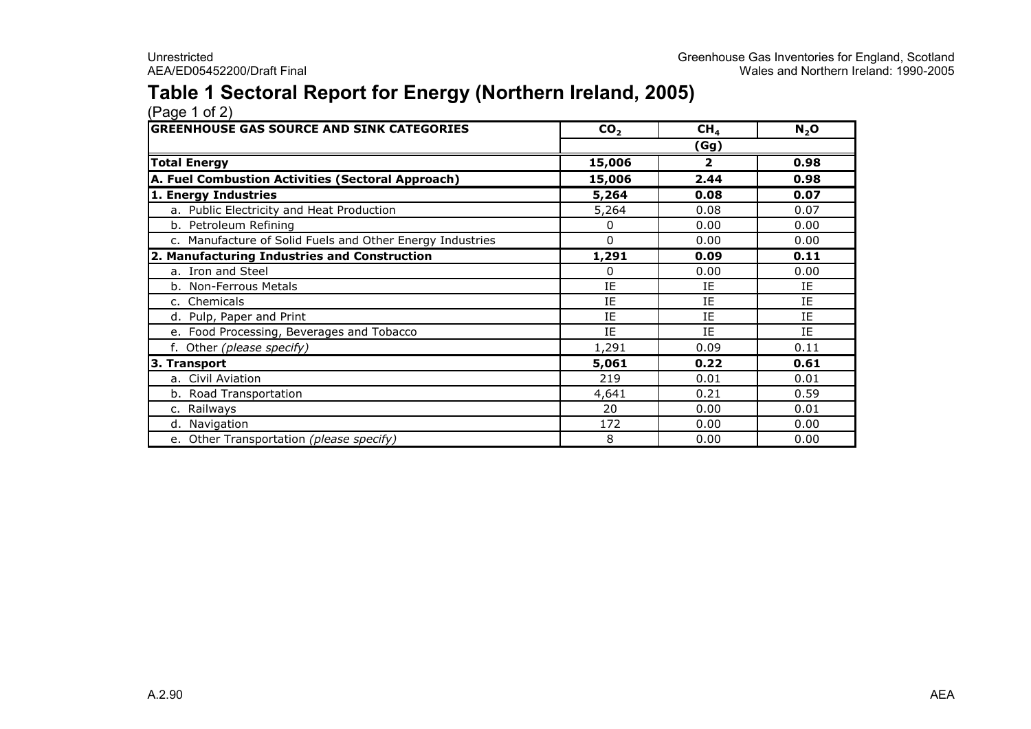#### Table 1 Sectoral Report for Energy (Northern Ireland, 2005)

| <b>GREENHOUSE GAS SOURCE AND SINK CATEGORIES</b>          | CO <sub>2</sub> | CH <sub>4</sub> | $N_2$ O |
|-----------------------------------------------------------|-----------------|-----------------|---------|
|                                                           |                 | (Gg)            |         |
| <b>Total Energy</b>                                       | 15,006          | 2               | 0.98    |
| A. Fuel Combustion Activities (Sectoral Approach)         | 15,006          | 2.44            | 0.98    |
| 1. Energy Industries                                      | 5,264           | 0.08            | 0.07    |
| a. Public Electricity and Heat Production                 | 5,264           | 0.08            | 0.07    |
| b. Petroleum Refining                                     | 0               | 0.00            | 0.00    |
| c. Manufacture of Solid Fuels and Other Energy Industries | $\Omega$        | 0.00            | 0.00    |
| 2. Manufacturing Industries and Construction              | 1,291           | 0.09            | 0.11    |
| a. Iron and Steel                                         | 0               | 0.00            | 0.00    |
| b. Non-Ferrous Metals                                     | IE              | ΙE              | IE      |
| c. Chemicals                                              | ΙE              | ΙE              | IE      |
| d. Pulp, Paper and Print                                  | IE              | IE              | IE      |
| e. Food Processing, Beverages and Tobacco                 | IE              | IE              | IE      |
| f. Other (please specify)                                 | 1,291           | 0.09            | 0.11    |
| 3. Transport                                              | 5,061           | 0.22            | 0.61    |
| a. Civil Aviation                                         | 219             | 0.01            | 0.01    |
| b. Road Transportation                                    | 4,641           | 0.21            | 0.59    |
| c. Railways                                               | 20              | 0.00            | 0.01    |
| d. Navigation                                             | 172             | 0.00            | 0.00    |
| e. Other Transportation (please specify)                  | 8               | 0.00            | 0.00    |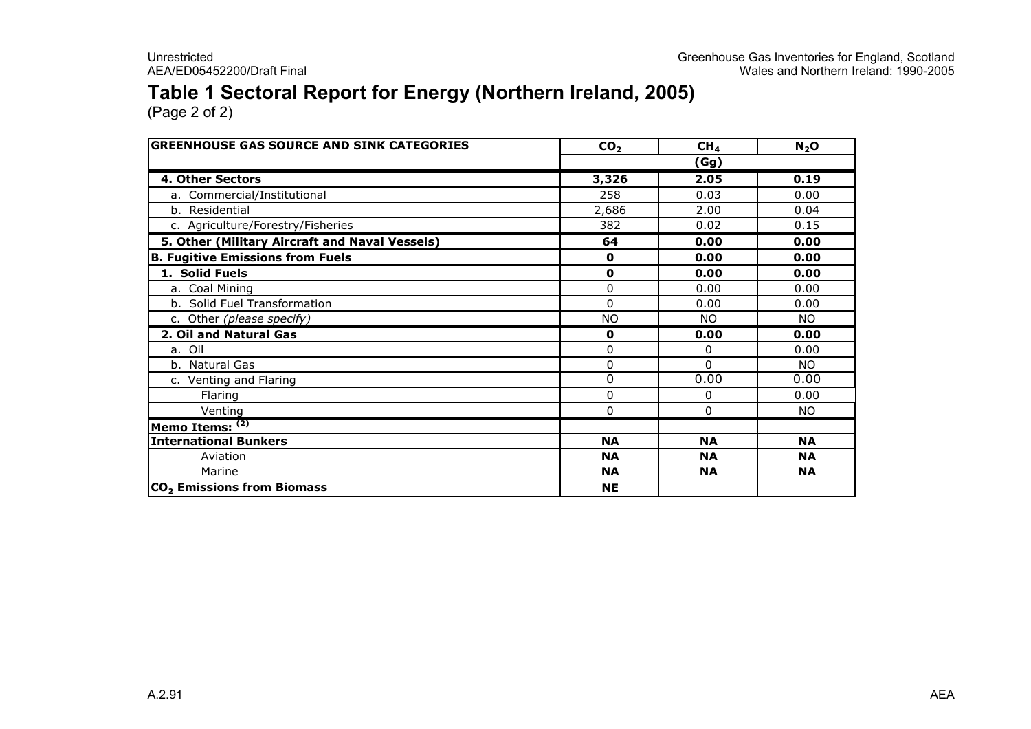#### Table 1 Sectoral Report for Energy (Northern Ireland, 2005)

| <b>GREENHOUSE GAS SOURCE AND SINK CATEGORIES</b> | CO <sub>2</sub> | CH <sub>4</sub> | N <sub>2</sub> O |
|--------------------------------------------------|-----------------|-----------------|------------------|
|                                                  |                 | (Gg)            |                  |
| 4. Other Sectors                                 | 3,326           | 2.05            | 0.19             |
| a. Commercial/Institutional                      | 258             | 0.03            | 0.00             |
| b. Residential                                   | 2,686           | 2.00            | 0.04             |
| c. Agriculture/Forestry/Fisheries                | 382             | 0.02            | 0.15             |
| 5. Other (Military Aircraft and Naval Vessels)   | 64              | 0.00            | 0.00             |
| <b>B. Fugitive Emissions from Fuels</b>          | $\mathbf 0$     | 0.00            | 0.00             |
| 1. Solid Fuels                                   | 0               | 0.00            | 0.00             |
| a. Coal Mining                                   | $\Omega$        | 0.00            | 0.00             |
| b. Solid Fuel Transformation                     | $\Omega$        | 0.00            | 0.00             |
| c. Other (please specify)                        | <b>NO</b>       | <b>NO</b>       | NO.              |
| 2. Oil and Natural Gas                           | $\mathbf 0$     | 0.00            | 0.00             |
| a. Oil                                           | $\Omega$        | 0               | 0.00             |
| b. Natural Gas                                   | 0               | $\Omega$        | NO.              |
| c. Venting and Flaring                           | $\Omega$        | 0.00            | 0.00             |
| Flaring                                          | 0               | 0               | 0.00             |
| Venting                                          | 0               | 0               | NO.              |
| Memo Items: $(2)$                                |                 |                 |                  |
| <b>International Bunkers</b>                     | <b>NA</b>       | <b>NA</b>       | <b>NA</b>        |
| Aviation                                         | <b>NA</b>       | <b>NA</b>       | <b>NA</b>        |
| Marine                                           | <b>NA</b>       | <b>NA</b>       | <b>NA</b>        |
| CO <sub>2</sub> Emissions from Biomass           | <b>NE</b>       |                 |                  |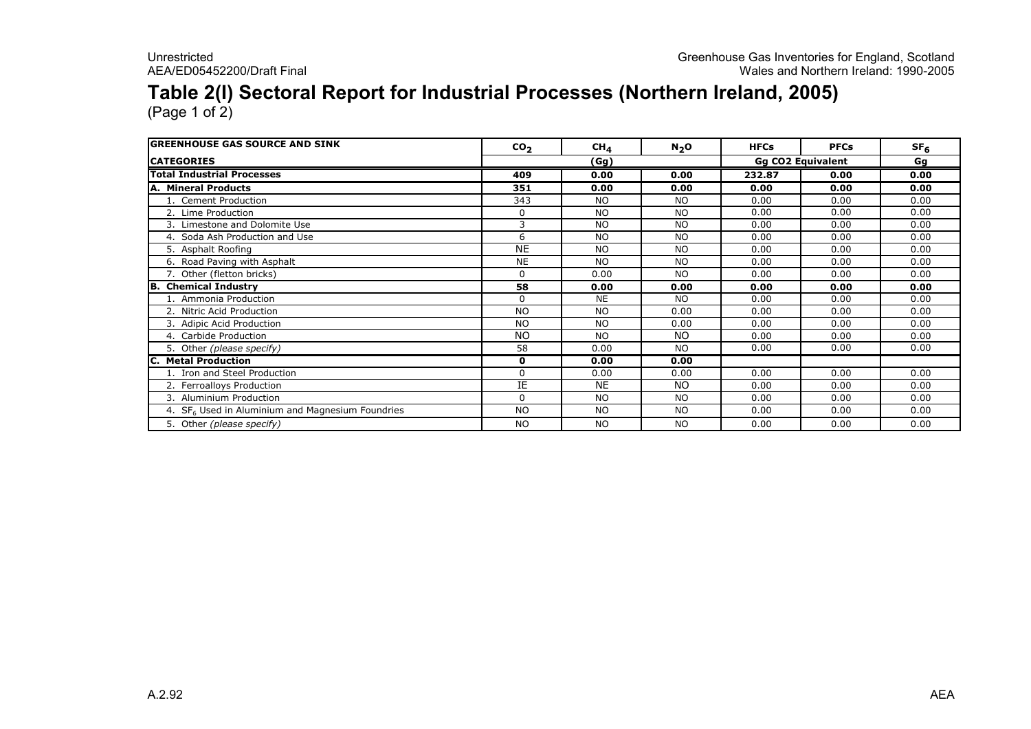### Table 2(I) Sectoral Report for Industrial Processes (Northern Ireland, 2005)

| <b>GREENHOUSE GAS SOURCE AND SINK</b>                        | CO <sub>2</sub> | CH <sub>4</sub> | $N_2$ O   | <b>HFCs</b>              | <b>PFCs</b> | SF <sub>6</sub> |
|--------------------------------------------------------------|-----------------|-----------------|-----------|--------------------------|-------------|-----------------|
| <b>CATEGORIES</b>                                            |                 | (Gg)            |           | <b>Gg CO2 Equivalent</b> | Gg          |                 |
| <b>Total Industrial Processes</b>                            | 409             | 0.00            | 0.00      | 232.87                   | 0.00        | 0.00            |
| A. Mineral Products                                          | 351             | 0.00            | 0.00      | 0.00                     | 0.00        | 0.00            |
| 1. Cement Production                                         | 343             | <b>NO</b>       | <b>NO</b> | 0.00                     | 0.00        | 0.00            |
| 2. Lime Production                                           | 0               | <b>NO</b>       | <b>NO</b> | 0.00                     | 0.00        | 0.00            |
| 3. Limestone and Dolomite Use                                | 3               | <b>NO</b>       | <b>NO</b> | 0.00                     | 0.00        | 0.00            |
| 4. Soda Ash Production and Use                               | 6               | <b>NO</b>       | <b>NO</b> | 0.00                     | 0.00        | 0.00            |
| 5. Asphalt Roofing                                           | <b>NE</b>       | <b>NO</b>       | <b>NO</b> | 0.00                     | 0.00        | 0.00            |
| 6. Road Paving with Asphalt                                  | <b>NE</b>       | <b>NO</b>       | <b>NO</b> | 0.00                     | 0.00        | 0.00            |
| 7. Other (fletton bricks)                                    | $\Omega$        | 0.00            | <b>NO</b> | 0.00                     | 0.00        | 0.00            |
| <b>B.</b> Chemical Industry                                  | 58              | 0.00            | 0.00      | 0.00                     | 0.00        | 0.00            |
| 1. Ammonia Production                                        | $\Omega$        | <b>NE</b>       | <b>NO</b> | 0.00                     | 0.00        | 0.00            |
| 2. Nitric Acid Production                                    | <b>NO</b>       | <b>NO</b>       | 0.00      | 0.00                     | 0.00        | 0.00            |
| 3. Adipic Acid Production                                    | <b>NO</b>       | <b>NO</b>       | 0.00      | 0.00                     | 0.00        | 0.00            |
| 4. Carbide Production                                        | <b>NO</b>       | <b>NO</b>       | <b>NO</b> | 0.00                     | 0.00        | 0.00            |
| 5. Other (please specify)                                    | 58              | 0.00            | <b>NO</b> | 0.00                     | 0.00        | 0.00            |
| C. Metal Production                                          | 0               | 0.00            | 0.00      |                          |             |                 |
| 1. Iron and Steel Production                                 | $\Omega$        | 0.00            | 0.00      | 0.00                     | 0.00        | 0.00            |
| 2. Ferroalloys Production                                    | IE              | <b>NE</b>       | NO.       | 0.00                     | 0.00        | 0.00            |
| 3. Aluminium Production                                      | $\Omega$        | <b>NO</b>       | <b>NO</b> | 0.00                     | 0.00        | 0.00            |
| 4. SF <sub>6</sub> Used in Aluminium and Magnesium Foundries | <b>NO</b>       | <b>NO</b>       | <b>NO</b> | 0.00                     | 0.00        | 0.00            |
| 5. Other (please specify)                                    | <b>NO</b>       | <b>NO</b>       | <b>NO</b> | 0.00                     | 0.00        | 0.00            |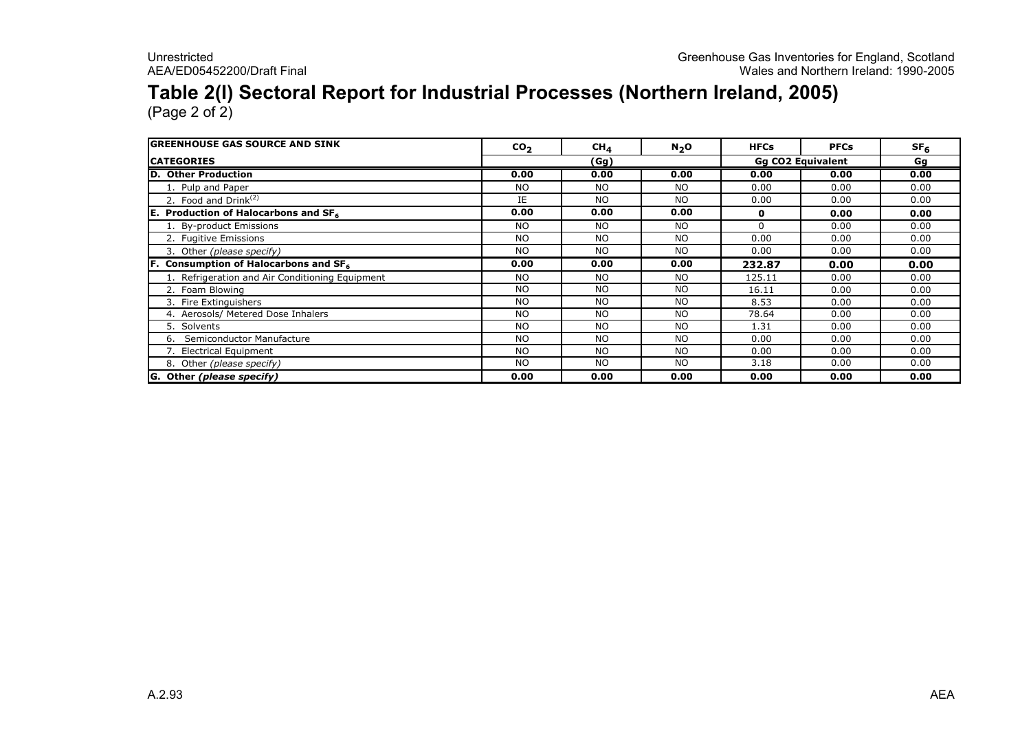## Table 2(I) Sectoral Report for Industrial Processes (Northern Ireland, 2005)

| <b>IGREENHOUSE GAS SOURCE AND SINK</b>          | CO <sub>2</sub> | CH <sub>4</sub> | N <sub>2</sub> O | <b>HFCs</b>              | <b>PFCs</b> | SF <sub>6</sub> |
|-------------------------------------------------|-----------------|-----------------|------------------|--------------------------|-------------|-----------------|
| <b>ICATEGORIES</b>                              |                 | (Gg)            |                  | <b>Gg CO2 Equivalent</b> |             | Gg              |
| D. Other Production                             | 0.00            | 0.00            | 0.00             | 0.00                     | 0.00        | 0.00            |
| 1. Pulp and Paper                               | <b>NO</b>       | NO.             | <b>NO</b>        | 0.00                     | 0.00        | 0.00            |
| 2. Food and $Drink(2)$                          | IE              | NO.             | <b>NO</b>        | 0.00                     | 0.00        | 0.00            |
| <b>E.</b> Production of Halocarbons and $SF6$   | 0.00            | 0.00            | 0.00             | 0                        | 0.00        | 0.00            |
| 1. By-product Emissions                         | <b>NO</b>       | NO.             | <b>NO</b>        | $\Omega$                 | 0.00        | 0.00            |
| 2. Fugitive Emissions                           | <b>NO</b>       | <b>NO</b>       | <b>NO</b>        | 0.00                     | 0.00        | 0.00            |
| 3. Other (please specify)                       | <b>NO</b>       | <b>NO</b>       | <b>NO</b>        | 0.00                     | 0.00        | 0.00            |
| Consumption of Halocarbons and SF6              | 0.00            | 0.00            | 0.00             | 232.87                   | 0.00        | 0.00            |
| 1. Refrigeration and Air Conditioning Equipment | <b>NO</b>       | <b>NO</b>       | <b>NO</b>        | 125.11                   | 0.00        | 0.00            |
| 2. Foam Blowing                                 | <b>NO</b>       | <b>NO</b>       | <b>NO</b>        | 16.11                    | 0.00        | 0.00            |
| 3. Fire Extinguishers                           | <b>NO</b>       | <b>NO</b>       | <b>NO</b>        | 8.53                     | 0.00        | 0.00            |
| 4. Aerosols/ Metered Dose Inhalers              | <b>NO</b>       | NO.             | <b>NO</b>        | 78.64                    | 0.00        | 0.00            |
| 5. Solvents                                     | <b>NO</b>       | NO.             | <b>NO</b>        | 1.31                     | 0.00        | 0.00            |
| Semiconductor Manufacture<br>6.                 | <b>NO</b>       | <b>NO</b>       | <b>NO</b>        | 0.00                     | 0.00        | 0.00            |
| 7. Electrical Equipment                         | <b>NO</b>       | NO.             | <b>NO</b>        | 0.00                     | 0.00        | 0.00            |
| 8. Other (please specify)                       | <b>NO</b>       | <b>NO</b>       | <b>NO</b>        | 3.18                     | 0.00        | 0.00            |
| G. Other (please specify)                       | 0.00            | 0.00            | 0.00             | 0.00                     | 0.00        | 0.00            |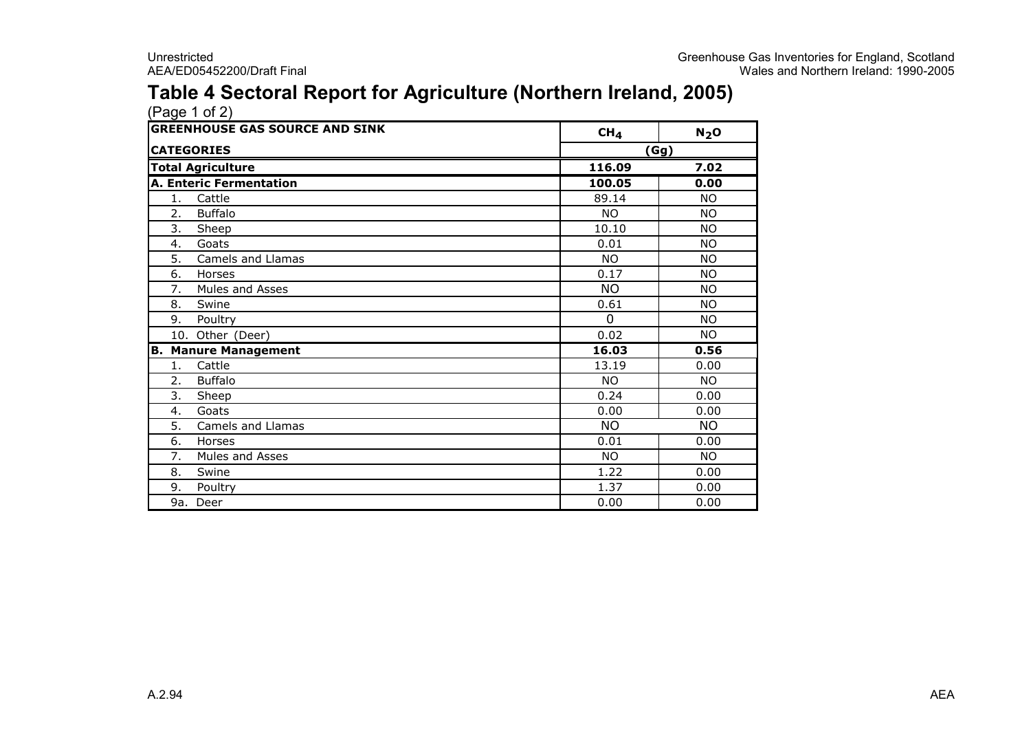#### Table 4 Sectoral Report for Agriculture (Northern Ireland, 2005)

|    | (Page 1 of 2)                         |                 |           |
|----|---------------------------------------|-----------------|-----------|
|    | <b>GREENHOUSE GAS SOURCE AND SINK</b> | CH <sub>4</sub> | $N_2$ O   |
|    | <b>CATEGORIES</b>                     | (Gg)            |           |
|    | <b>Total Agriculture</b>              | 116.09          | 7.02      |
|    | <b>A. Enteric Fermentation</b>        | 100.05          | 0.00      |
| 1. | Cattle                                | 89.14           | <b>NO</b> |
| 2. | <b>Buffalo</b>                        | <b>NO</b>       | <b>NO</b> |
| 3. | Sheep                                 | 10.10           | <b>NO</b> |
| 4. | Goats                                 | 0.01            | <b>NO</b> |
| 5. | Camels and Llamas                     | <b>NO</b>       | <b>NO</b> |
| 6. | Horses                                | 0.17            | <b>NO</b> |
| 7. | Mules and Asses                       | <b>NO</b>       | <b>NO</b> |
| 8. | Swine                                 | 0.61            | <b>NO</b> |
| 9. | Poultry                               | $\Omega$        | <b>NO</b> |
|    | 10. Other (Deer)                      | 0.02            | <b>NO</b> |
| В. | <b>Manure Management</b>              | 16.03           | 0.56      |
| 1. | Cattle                                | 13.19           | 0.00      |
| 2. | <b>Buffalo</b>                        | <b>NO</b>       | <b>NO</b> |
| 3. | Sheep                                 | 0.24            | 0.00      |
| 4. | Goats                                 | 0.00            | 0.00      |
| 5. | Camels and Llamas                     | <b>NO</b>       | <b>NO</b> |
| 6. | Horses                                | 0.01            | 0.00      |
| 7. | <b>Mules and Asses</b>                | <b>NO</b>       | <b>NO</b> |
| 8. | Swine                                 | 1.22            | 0.00      |
| 9. | Poultry                               | 1.37            | 0.00      |
|    | 9a. Deer                              | 0.00            | 0.00      |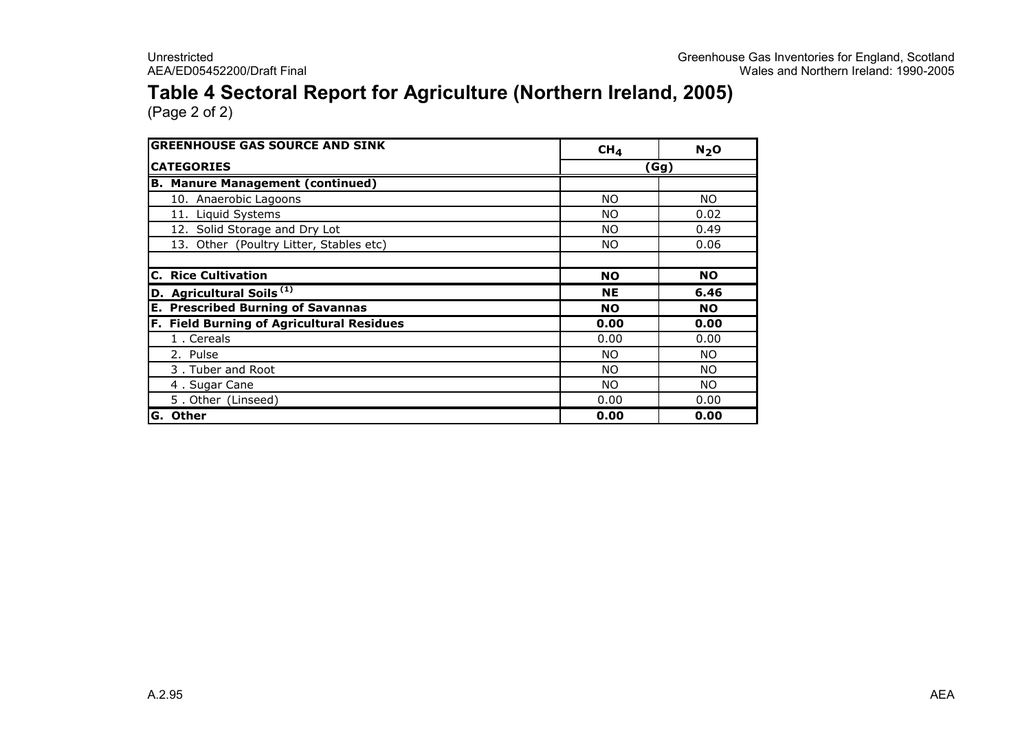#### Table 4 Sectoral Report for Agriculture (Northern Ireland, 2005)

| <b>GREENHOUSE GAS SOURCE AND SINK</b>     | CH <sub>4</sub> | N <sub>2</sub> O |
|-------------------------------------------|-----------------|------------------|
| <b>CATEGORIES</b>                         |                 | (Gg)             |
| <b>B. Manure Management (continued)</b>   |                 |                  |
| 10. Anaerobic Lagoons                     | <b>NO</b>       | NO.              |
| 11. Liquid Systems                        | <b>NO</b>       | 0.02             |
| 12. Solid Storage and Dry Lot             | <b>NO</b>       | 0.49             |
| 13. Other (Poultry Litter, Stables etc)   | NO.             | 0.06             |
| <b>C. Rice Cultivation</b>                | <b>NO</b>       | <b>NO</b>        |
| D. Agricultural Soils <sup>(1)</sup>      | <b>NE</b>       | 6.46             |
| <b>E. Prescribed Burning of Savannas</b>  | <b>NO</b>       | <b>NO</b>        |
| F. Field Burning of Agricultural Residues | 0.00            | 0.00             |
| 1. Cereals                                | 0.00            | 0.00             |
| 2. Pulse                                  | NO.             | <b>NO</b>        |
| 3. Tuber and Root                         | <b>NO</b>       | NO.              |
| 4. Sugar Cane                             | NO.             | NO.              |
| 5. Other (Linseed)                        | 0.00            | 0.00             |
| G. Other                                  | 0.00            | 0.00             |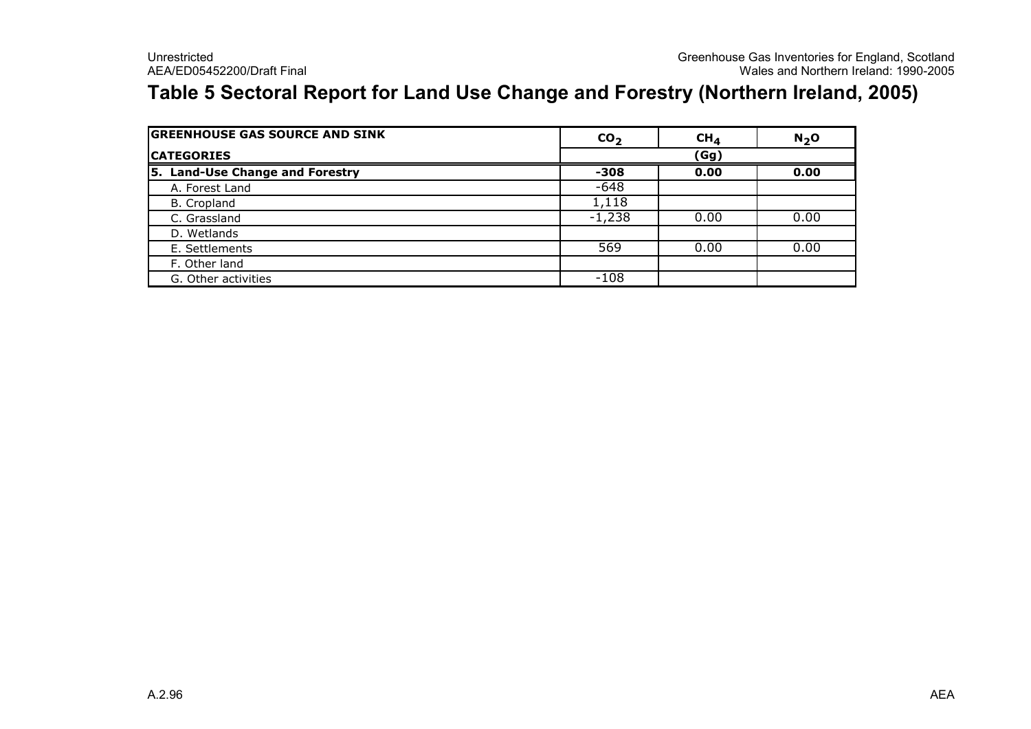#### Table 5 Sectoral Report for Land Use Change and Forestry (Northern Ireland, 2005)

| <b>GREENHOUSE GAS SOURCE AND SINK</b> | CO <sub>2</sub> | CH <sub>4</sub> | $N2$ O |
|---------------------------------------|-----------------|-----------------|--------|
| <b>CATEGORIES</b>                     | (Gg)            |                 |        |
| 5. Land-Use Change and Forestry       | -308            | 0.00            | 0.00   |
| A. Forest Land                        | $-648$          |                 |        |
| B. Cropland                           | 1,118           |                 |        |
| C. Grassland                          | $-1,238$        | 0.00            | 0.00   |
| D. Wetlands                           |                 |                 |        |
| E. Settlements                        | 569             | 0.00            | 0.00   |
| F. Other land                         |                 |                 |        |
| G. Other activities                   | $-108$          |                 |        |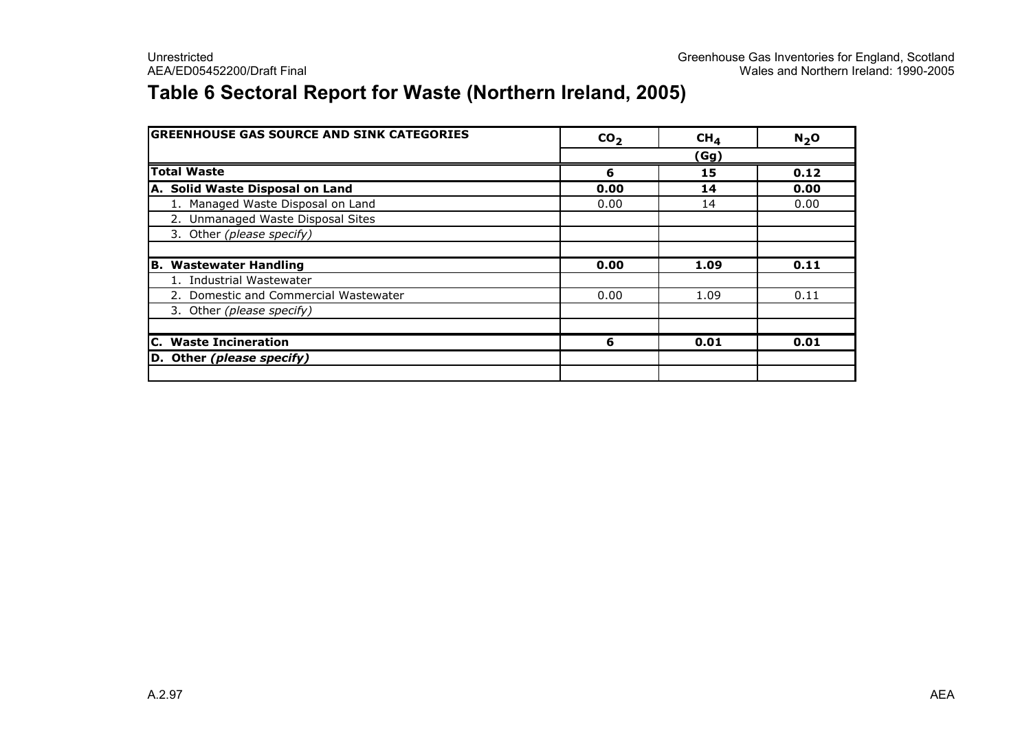#### Table 6 Sectoral Report for Waste (Northern Ireland, 2005)

| <b>GREENHOUSE GAS SOURCE AND SINK CATEGORIES</b> | CO <sub>2</sub> | CH <sub>4</sub> | $N2$ O |
|--------------------------------------------------|-----------------|-----------------|--------|
|                                                  |                 | <u>(Gg)</u>     |        |
| <b>Total Waste</b>                               | 6               | 15              | 0.12   |
| A. Solid Waste Disposal on Land                  | 0.00            | 14              | 0.00   |
| 1. Managed Waste Disposal on Land                | 0.00            | 14              | 0.00   |
| 2. Unmanaged Waste Disposal Sites                |                 |                 |        |
| 3. Other (please specify)                        |                 |                 |        |
|                                                  |                 |                 |        |
| <b>B. Wastewater Handling</b>                    | 0.00            | 1.09            | 0.11   |
| 1. Industrial Wastewater                         |                 |                 |        |
| 2. Domestic and Commercial Wastewater            | 0.00            | 1.09            | 0.11   |
| 3. Other (please specify)                        |                 |                 |        |
| <b>C.</b> Waste Incineration                     | 6               | 0.01            | 0.01   |
| D. Other (please specify)                        |                 |                 |        |
|                                                  |                 |                 |        |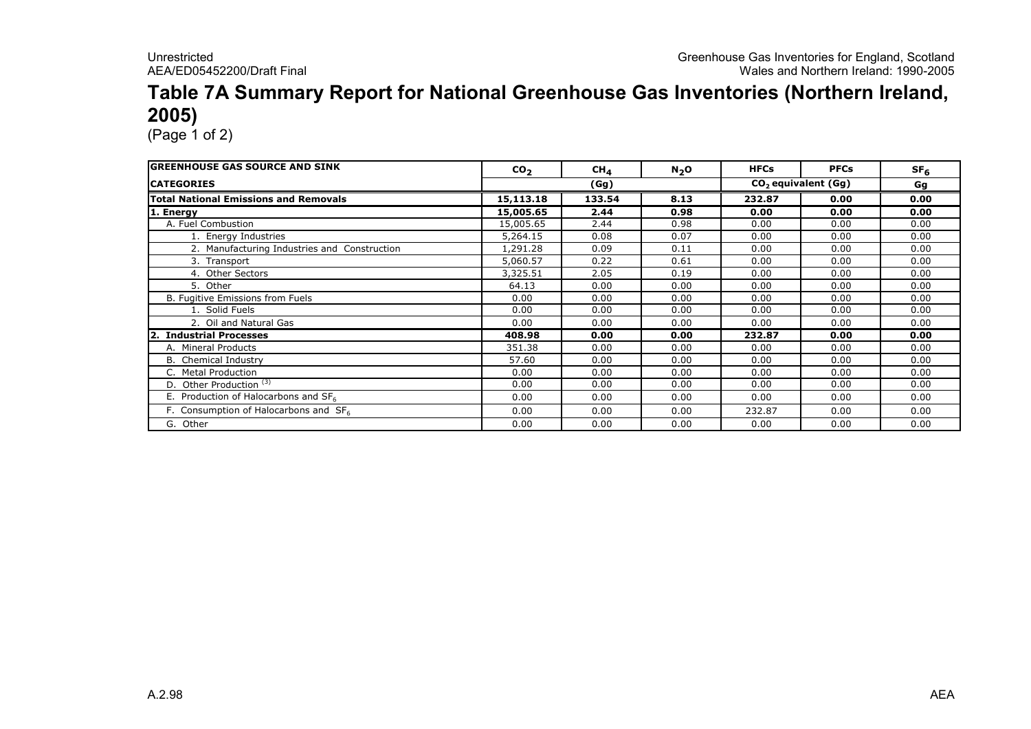#### Table 7A Summary Report for National Greenhouse Gas Inventories (Northern Ireland, 2005)

| <b>GREENHOUSE GAS SOURCE AND SINK</b>        | CO <sub>2</sub> | CH <sub>4</sub> | $N_2$ O | <b>HFCs</b> | <b>PFCs</b>           | SF <sub>6</sub> |
|----------------------------------------------|-----------------|-----------------|---------|-------------|-----------------------|-----------------|
| <b>ICATEGORIES</b>                           |                 | (Gg)            |         |             | $CO2$ equivalent (Gg) | Gg              |
| <b>Total National Emissions and Removals</b> | 15,113.18       | 133.54          | 8.13    | 232.87      | 0.00                  | 0.00            |
| 1. Energy                                    | 15,005.65       | 2.44            | 0.98    | 0.00        | 0.00                  | 0.00            |
| A. Fuel Combustion                           | 15,005.65       | 2.44            | 0.98    | 0.00        | 0.00                  | 0.00            |
| 1. Energy Industries                         | 5,264.15        | 0.08            | 0.07    | 0.00        | 0.00                  | 0.00            |
| 2. Manufacturing Industries and Construction | 1,291.28        | 0.09            | 0.11    | 0.00        | 0.00                  | 0.00            |
| 3. Transport                                 | 5,060.57        | 0.22            | 0.61    | 0.00        | 0.00                  | 0.00            |
| 4. Other Sectors                             | 3,325.51        | 2.05            | 0.19    | 0.00        | 0.00                  | 0.00            |
| 5. Other                                     | 64.13           | 0.00            | 0.00    | 0.00        | 0.00                  | 0.00            |
| B. Fugitive Emissions from Fuels             | 0.00            | 0.00            | 0.00    | 0.00        | 0.00                  | 0.00            |
| 1. Solid Fuels                               | 0.00            | 0.00            | 0.00    | 0.00        | 0.00                  | 0.00            |
| 2. Oil and Natural Gas                       | 0.00            | 0.00            | 0.00    | 0.00        | 0.00                  | 0.00            |
| 2. Industrial Processes                      | 408.98          | 0.00            | 0.00    | 232.87      | 0.00                  | 0.00            |
| A. Mineral Products                          | 351.38          | 0.00            | 0.00    | 0.00        | 0.00                  | 0.00            |
| B. Chemical Industry                         | 57.60           | 0.00            | 0.00    | 0.00        | 0.00                  | 0.00            |
| C. Metal Production                          | 0.00            | 0.00            | 0.00    | 0.00        | 0.00                  | 0.00            |
| D. Other Production <sup>(3)</sup>           | 0.00            | 0.00            | 0.00    | 0.00        | 0.00                  | 0.00            |
| E. Production of Halocarbons and $SF6$       | 0.00            | 0.00            | 0.00    | 0.00        | 0.00                  | 0.00            |
| F. Consumption of Halocarbons and SF6        | 0.00            | 0.00            | 0.00    | 232.87      | 0.00                  | 0.00            |
| G. Other                                     | 0.00            | 0.00            | 0.00    | 0.00        | 0.00                  | 0.00            |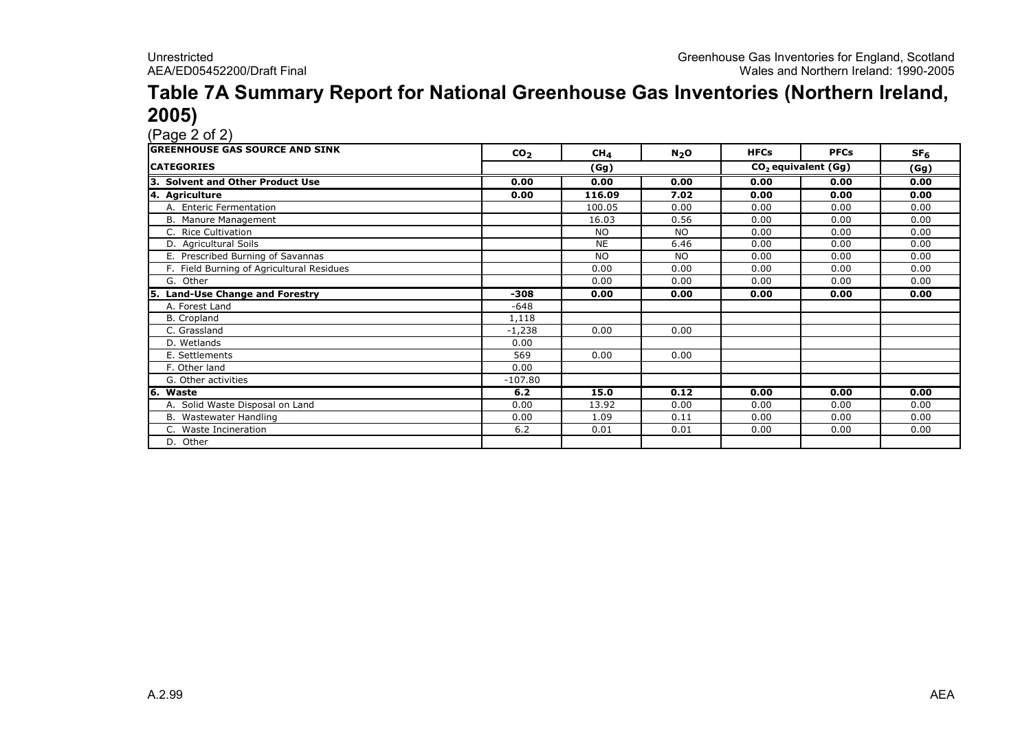### Table 7A Summary Report for National Greenhouse Gas Inventories (Northern Ireland, **2005)**<br>(Page 2 of 2)

| <b>GREENHOUSE GAS SOURCE AND SINK</b>      | CO <sub>2</sub> | CH <sub>4</sub> | $N_2$ O   | <b>HFCs</b>                     | <b>PFCs</b> | SF <sub>6</sub> |
|--------------------------------------------|-----------------|-----------------|-----------|---------------------------------|-------------|-----------------|
| <b>CATEGORIES</b>                          |                 | (Gg)            |           | CO <sub>2</sub> equivalent (Gg) |             | (Gg)            |
| <b>Solvent and Other Product Use</b><br>з. | 0.00            | 0.00            | 0.00      | 0.00                            | 0.00        | 0.00            |
| 4. Agriculture                             | 0.00            | 116.09          | 7.02      | 0.00                            | 0.00        | 0.00            |
| A. Enteric Fermentation                    |                 | 100.05          | 0.00      | 0.00                            | 0.00        | 0.00            |
| B. Manure Management                       |                 | 16.03           | 0.56      | 0.00                            | 0.00        | 0.00            |
| C. Rice Cultivation                        |                 | <b>NO</b>       | <b>NO</b> | 0.00                            | 0.00        | 0.00            |
| D. Agricultural Soils                      |                 | <b>NE</b>       | 6.46      | 0.00                            | 0.00        | 0.00            |
| E. Prescribed Burning of Savannas          |                 | <b>NO</b>       | <b>NO</b> | 0.00                            | 0.00        | 0.00            |
| F. Field Burning of Agricultural Residues  |                 | 0.00            | 0.00      | 0.00                            | 0.00        | 0.00            |
| G. Other                                   |                 | 0.00            | 0.00      | 0.00                            | 0.00        | 0.00            |
| <b>Land-Use Change and Forestry</b><br>5.  | $-308$          | 0.00            | 0.00      | 0.00                            | 0.00        | 0.00            |
| A. Forest Land                             | $-648$          |                 |           |                                 |             |                 |
| B. Cropland                                | 1,118           |                 |           |                                 |             |                 |
| C. Grassland                               | $-1,238$        | 0.00            | 0.00      |                                 |             |                 |
| D. Wetlands                                | 0.00            |                 |           |                                 |             |                 |
| E. Settlements                             | 569             | 0.00            | 0.00      |                                 |             |                 |
| F. Other land                              | 0.00            |                 |           |                                 |             |                 |
| G. Other activities                        | $-107.80$       |                 |           |                                 |             |                 |
| 6. Waste                                   | 6.2             | 15.0            | 0.12      | 0.00                            | 0.00        | 0.00            |
| A. Solid Waste Disposal on Land            | 0.00            | 13.92           | 0.00      | 0.00                            | 0.00        | 0.00            |
| B. Wastewater Handling                     | 0.00            | 1.09            | 0.11      | 0.00                            | 0.00        | 0.00            |
| C. Waste Incineration                      | 6.2             | 0.01            | 0.01      | 0.00                            | 0.00        | 0.00            |
| D. Other                                   |                 |                 |           |                                 |             |                 |